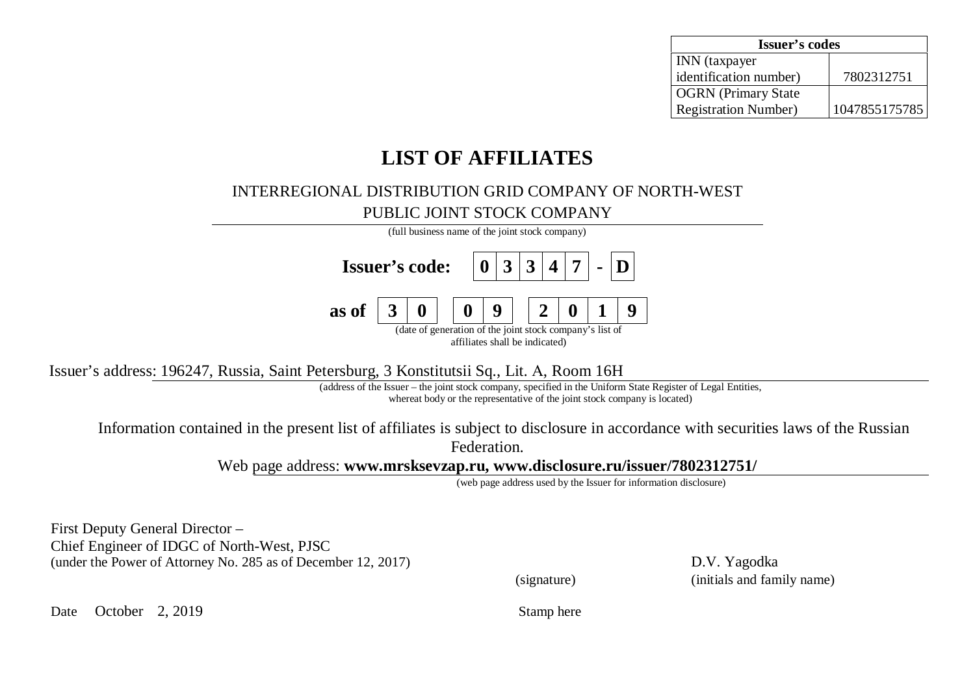| <b>Issuer's codes</b>        |               |  |  |  |  |
|------------------------------|---------------|--|--|--|--|
| <b>INN</b> (taxpayer         |               |  |  |  |  |
| identification number)       | 7802312751    |  |  |  |  |
| <b>OGRN</b> (Primary State   |               |  |  |  |  |
| <b>Registration Number</b> ) | 1047855175785 |  |  |  |  |

## **LIST OF AFFILIATES**

## INTERREGIONAL DISTRIBUTION GRID COMPANY OF NORTH-WEST PUBLIC JOINT STOCK COMPANY



Issuer's address: 196247, Russia, Saint Petersburg, 3 Konstitutsii Sq., Lit. Ⱥ, Room 16H

(address of the Issuer – the joint stock company, specified in the Uniform State Register of Legal Entities, whereat body or the representative of the joint stock company is located)

Information contained in the present list of affiliates is subject to disclosure in accordance with securities laws of the Russian Federation.

Web page address: **[www.mrsksevzap.ru,](http://www.mrsksevzap.ru) [www.disclosure.ru/issuer/7802312751/](http://www.disclosure.ru/issuer/7802312751/)**

(web page address used by the Issuer for information disclosure)

First Deputy General Director – Chief Engineer of IDGC of North-West, PJSC (under the Power of Attorney No. 285 as of December 12, 2017) D.V. Yagodka

(signature) (initials and family name)

Date October 2, 2019 Stamp here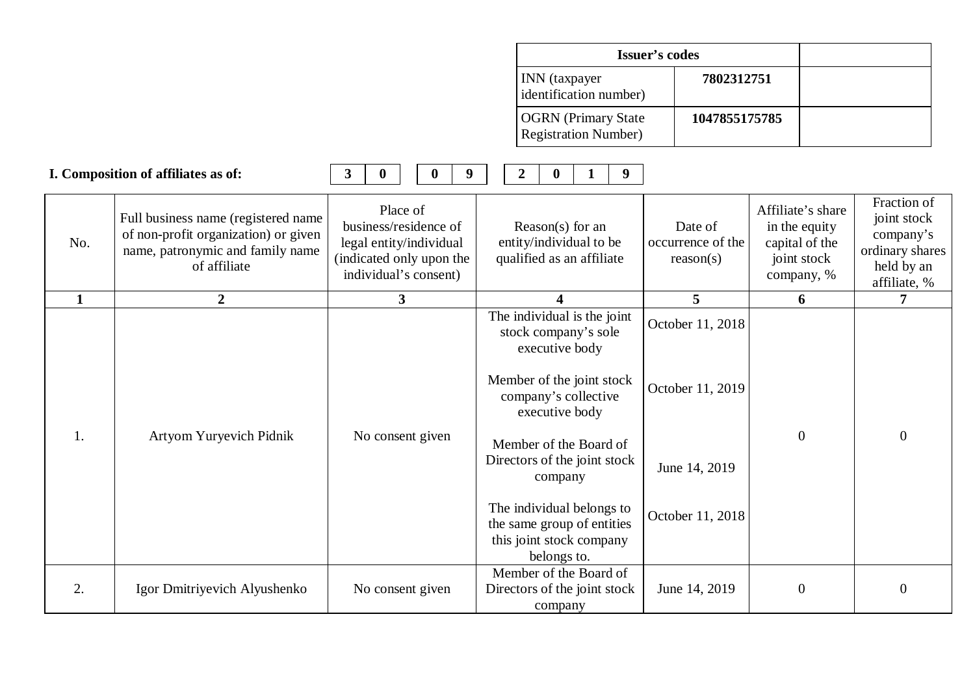| Issuer's codes                                             |               |
|------------------------------------------------------------|---------------|
| <b>INN</b> (taxpayer<br>dentification number)              | 7802312751    |
| <b>OGRN</b> (Primary State<br><b>Registration Number</b> ) | 1047855175785 |

|              | I. Composition of affiliates as of:                                                                                             | 3<br>$\bf{0}$<br>9<br>$\bf{0}$                                                                                    | 9 <sup>°</sup><br>2<br>$\bf{0}$                                                                                                                                                                                                                                                                                         |                                                                           |                                                                                   |                                                                                          |
|--------------|---------------------------------------------------------------------------------------------------------------------------------|-------------------------------------------------------------------------------------------------------------------|-------------------------------------------------------------------------------------------------------------------------------------------------------------------------------------------------------------------------------------------------------------------------------------------------------------------------|---------------------------------------------------------------------------|-----------------------------------------------------------------------------------|------------------------------------------------------------------------------------------|
| No.          | Full business name (registered name<br>of non-profit organization) or given<br>name, patronymic and family name<br>of affiliate | Place of<br>business/residence of<br>legal entity/individual<br>(indicated only upon the<br>individual's consent) | Reason(s) for an<br>entity/individual to be<br>qualified as an affiliate                                                                                                                                                                                                                                                | Date of<br>occurrence of the<br>reason(s)                                 | Affiliate's share<br>in the equity<br>capital of the<br>joint stock<br>company, % | Fraction of<br>joint stock<br>company's<br>ordinary shares<br>held by an<br>affiliate, % |
| $\mathbf{1}$ | $\overline{2}$                                                                                                                  | 3                                                                                                                 | $\boldsymbol{\varDelta}$                                                                                                                                                                                                                                                                                                | 5 <sup>5</sup>                                                            | 6                                                                                 |                                                                                          |
| 1.           | Artyom Yuryevich Pidnik                                                                                                         | No consent given                                                                                                  | The individual is the joint<br>stock company's sole<br>executive body<br>Member of the joint stock<br>company's collective<br>executive body<br>Member of the Board of<br>Directors of the joint stock<br>company<br>The individual belongs to<br>the same group of entities<br>this joint stock company<br>belongs to. | October 11, 2018<br>October 11, 2019<br>June 14, 2019<br>October 11, 2018 | $\boldsymbol{0}$                                                                  | $\theta$                                                                                 |
| 2.           | Igor Dmitriyevich Alyushenko                                                                                                    | No consent given                                                                                                  | Member of the Board of<br>Directors of the joint stock<br>company                                                                                                                                                                                                                                                       | June 14, 2019                                                             | $\overline{0}$                                                                    | $\Omega$                                                                                 |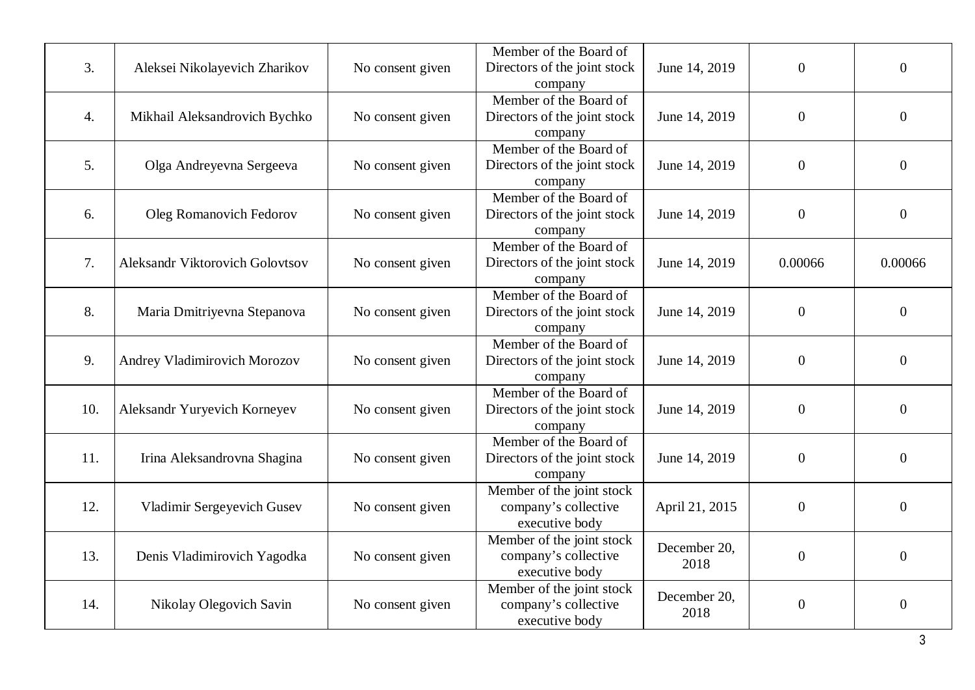| 3.  | Aleksei Nikolayevich Zharikov   | No consent given | Member of the Board of<br>Directors of the joint stock<br>company   | June 14, 2019        | $\overline{0}$   | $\theta$         |
|-----|---------------------------------|------------------|---------------------------------------------------------------------|----------------------|------------------|------------------|
| 4.  | Mikhail Aleksandrovich Bychko   | No consent given | Member of the Board of<br>Directors of the joint stock<br>company   | June 14, 2019        | $\boldsymbol{0}$ | $\overline{0}$   |
| 5.  | Olga Andreyevna Sergeeva        | No consent given | Member of the Board of<br>Directors of the joint stock<br>company   | June 14, 2019        | $\boldsymbol{0}$ | $\boldsymbol{0}$ |
| 6.  | <b>Oleg Romanovich Fedorov</b>  | No consent given | Member of the Board of<br>Directors of the joint stock<br>company   | June 14, 2019        | $\boldsymbol{0}$ | $\boldsymbol{0}$ |
| 7.  | Aleksandr Viktorovich Golovtsov | No consent given | Member of the Board of<br>Directors of the joint stock<br>company   | June 14, 2019        | 0.00066          | 0.00066          |
| 8.  | Maria Dmitriyevna Stepanova     | No consent given | Member of the Board of<br>Directors of the joint stock<br>company   | June 14, 2019        | $\overline{0}$   | $\theta$         |
| 9.  | Andrey Vladimirovich Morozov    | No consent given | Member of the Board of<br>Directors of the joint stock<br>company   | June 14, 2019        | $\boldsymbol{0}$ | $\overline{0}$   |
| 10. | Aleksandr Yuryevich Korneyev    | No consent given | Member of the Board of<br>Directors of the joint stock<br>company   | June 14, 2019        | $\boldsymbol{0}$ | $\boldsymbol{0}$ |
| 11. | Irina Aleksandrovna Shagina     | No consent given | Member of the Board of<br>Directors of the joint stock<br>company   | June 14, 2019        | $\boldsymbol{0}$ | $\overline{0}$   |
| 12. | Vladimir Sergeyevich Gusev      | No consent given | Member of the joint stock<br>company's collective<br>executive body | April 21, 2015       | $\boldsymbol{0}$ | $\overline{0}$   |
| 13. | Denis Vladimirovich Yagodka     | No consent given | Member of the joint stock<br>company's collective<br>executive body | December 20,<br>2018 | $\overline{0}$   | $\overline{0}$   |
| 14. | Nikolay Olegovich Savin         | No consent given | Member of the joint stock<br>company's collective<br>executive body | December 20,<br>2018 | $\boldsymbol{0}$ | $\boldsymbol{0}$ |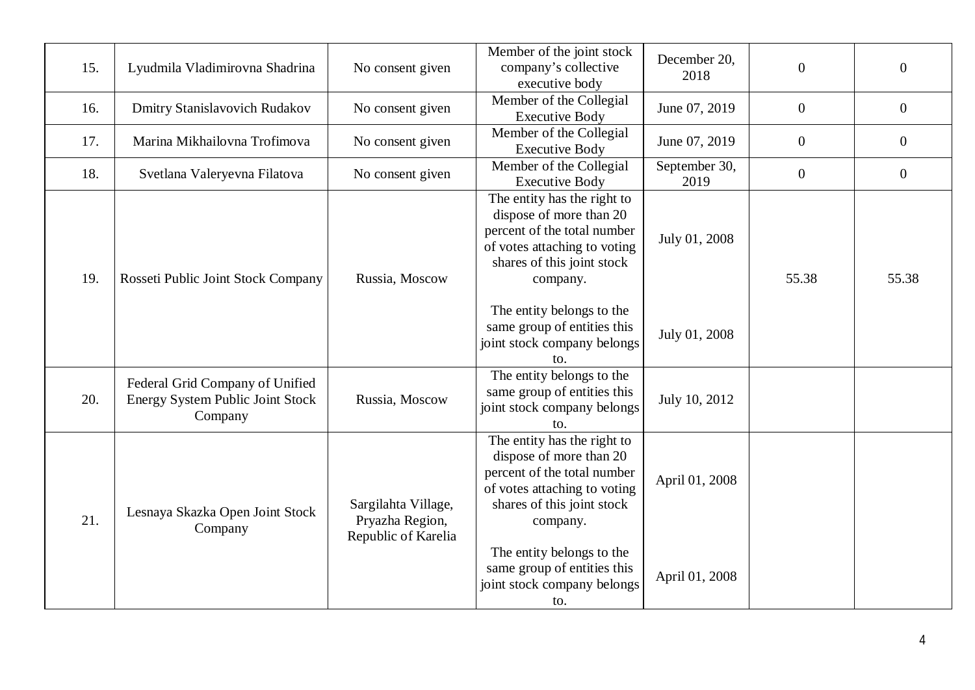| 15. | Lyudmila Vladimirovna Shadrina                                                        | No consent given                                              | Member of the joint stock<br>company's collective                                                                                                                                                                                                                 | December 20,<br>2018             | $\overline{0}$ | $\overline{0}$   |
|-----|---------------------------------------------------------------------------------------|---------------------------------------------------------------|-------------------------------------------------------------------------------------------------------------------------------------------------------------------------------------------------------------------------------------------------------------------|----------------------------------|----------------|------------------|
| 16. | <b>Dmitry Stanislavovich Rudakov</b>                                                  | No consent given                                              | executive body<br>Member of the Collegial<br><b>Executive Body</b>                                                                                                                                                                                                | June 07, 2019                    | $\overline{0}$ | $\boldsymbol{0}$ |
| 17. | Marina Mikhailovna Trofimova                                                          | No consent given                                              | Member of the Collegial<br><b>Executive Body</b>                                                                                                                                                                                                                  | June 07, 2019                    | $\overline{0}$ | $\boldsymbol{0}$ |
| 18. | Svetlana Valeryevna Filatova                                                          | No consent given                                              | Member of the Collegial<br><b>Executive Body</b>                                                                                                                                                                                                                  | September 30,<br>2019            | $\overline{0}$ | $\overline{0}$   |
| 19. | Rosseti Public Joint Stock Company                                                    | Russia, Moscow                                                | The entity has the right to<br>dispose of more than 20<br>percent of the total number<br>of votes attaching to voting<br>shares of this joint stock<br>company.<br>The entity belongs to the<br>same group of entities this                                       | July 01, 2008                    | 55.38          | 55.38            |
|     |                                                                                       |                                                               | joint stock company belongs<br>to.                                                                                                                                                                                                                                | July 01, 2008                    |                |                  |
| 20. | Federal Grid Company of Unified<br><b>Energy System Public Joint Stock</b><br>Company | Russia, Moscow                                                | The entity belongs to the<br>same group of entities this<br>joint stock company belongs<br>to.                                                                                                                                                                    | July 10, 2012                    |                |                  |
| 21. | Lesnaya Skazka Open Joint Stock<br>Company                                            | Sargilahta Village,<br>Pryazha Region,<br>Republic of Karelia | The entity has the right to<br>dispose of more than 20<br>percent of the total number<br>of votes attaching to voting<br>shares of this joint stock<br>company.<br>The entity belongs to the<br>same group of entities this<br>joint stock company belongs<br>to. | April 01, 2008<br>April 01, 2008 |                |                  |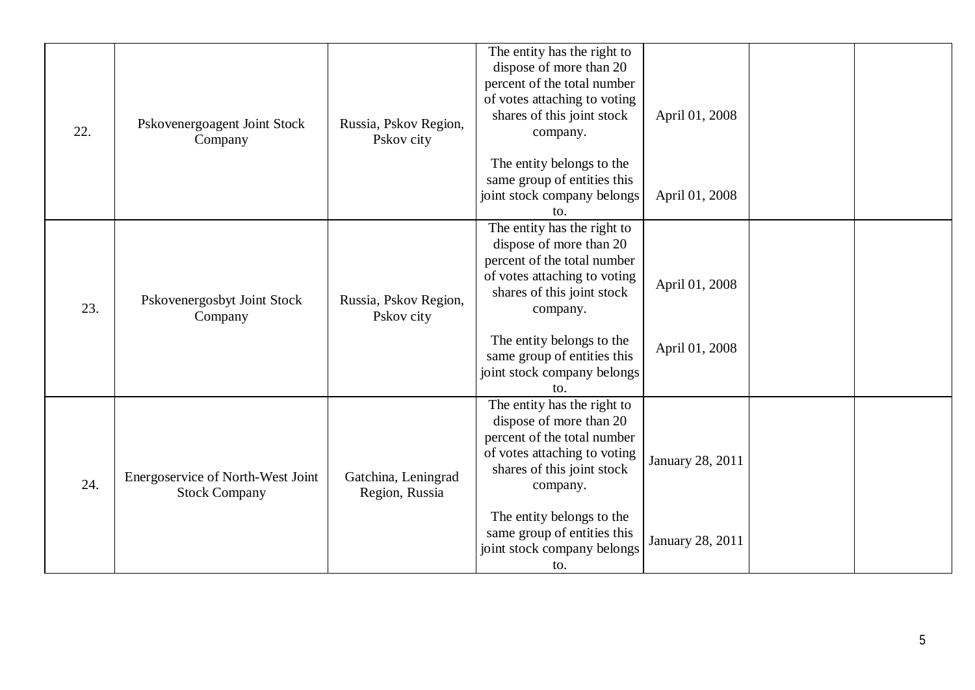| 22. | Pskovenergoagent Joint Stock<br>Company                   | Russia, Pskov Region,<br>Pskov city   | The entity has the right to<br>dispose of more than 20<br>percent of the total number<br>of votes attaching to voting<br>shares of this joint stock<br>company.<br>The entity belongs to the<br>same group of entities this<br>joint stock company belongs<br>to. | April 01, 2008<br>April 01, 2008     |  |
|-----|-----------------------------------------------------------|---------------------------------------|-------------------------------------------------------------------------------------------------------------------------------------------------------------------------------------------------------------------------------------------------------------------|--------------------------------------|--|
| 23. | Pskovenergosbyt Joint Stock<br>Company                    | Russia, Pskov Region,<br>Pskov city   | The entity has the right to<br>dispose of more than 20<br>percent of the total number<br>of votes attaching to voting<br>shares of this joint stock<br>company.<br>The entity belongs to the<br>same group of entities this<br>joint stock company belongs<br>to. | April 01, 2008<br>April 01, 2008     |  |
| 24. | Energoservice of North-West Joint<br><b>Stock Company</b> | Gatchina, Leningrad<br>Region, Russia | The entity has the right to<br>dispose of more than 20<br>percent of the total number<br>of votes attaching to voting<br>shares of this joint stock<br>company.<br>The entity belongs to the<br>same group of entities this<br>joint stock company belongs<br>to. | January 28, 2011<br>January 28, 2011 |  |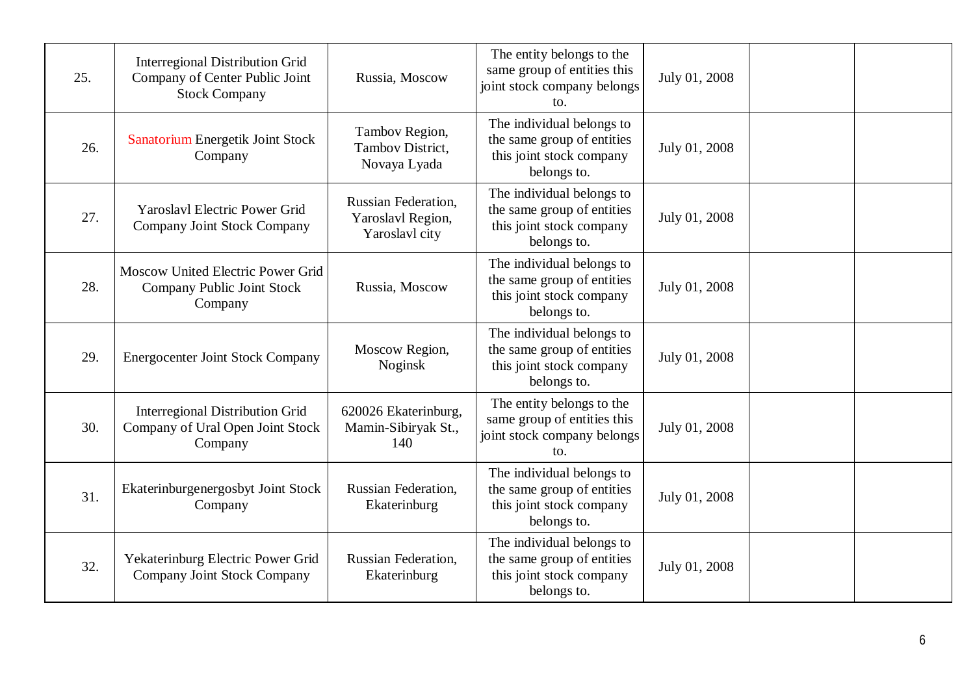| 25. | Interregional Distribution Grid<br>Company of Center Public Joint<br><b>Stock Company</b> | Russia, Moscow                                                    | The entity belongs to the<br>same group of entities this<br>joint stock company belongs<br>to.             | July 01, 2008 |  |
|-----|-------------------------------------------------------------------------------------------|-------------------------------------------------------------------|------------------------------------------------------------------------------------------------------------|---------------|--|
| 26. | Sanatorium Energetik Joint Stock<br>Company                                               | Tambov Region,<br>Tambov District,<br>Novaya Lyada                | The individual belongs to<br>the same group of entities<br>this joint stock company<br>belongs to.         | July 01, 2008 |  |
| 27. | <b>Yaroslavl Electric Power Grid</b><br>Company Joint Stock Company                       | <b>Russian Federation,</b><br>Yaroslavl Region,<br>Yaroslavl city | The individual belongs to<br>the same group of entities<br>this joint stock company<br>belongs to.         | July 01, 2008 |  |
| 28. | Moscow United Electric Power Grid<br>Company Public Joint Stock<br>Company                | Russia, Moscow                                                    | The individual belongs to<br>the same group of entities<br>this joint stock company<br>belongs to.         | July 01, 2008 |  |
| 29. | <b>Energocenter Joint Stock Company</b>                                                   | Moscow Region,<br>Noginsk                                         | The individual belongs to<br>the same group of entities<br>this joint stock company<br>belongs to.         | July 01, 2008 |  |
| 30. | <b>Interregional Distribution Grid</b><br>Company of Ural Open Joint Stock<br>Company     | 620026 Ekaterinburg,<br>Mamin-Sibiryak St.,<br>140                | The entity belongs to the<br>same group of entities this<br>joint stock company belongs<br>$\mathsf{to}$ . | July 01, 2008 |  |
| 31. | Ekaterinburgenergosbyt Joint Stock<br>Company                                             | Russian Federation,<br>Ekaterinburg                               | The individual belongs to<br>the same group of entities<br>this joint stock company<br>belongs to.         | July 01, 2008 |  |
| 32. | Yekaterinburg Electric Power Grid<br>Company Joint Stock Company                          | <b>Russian Federation,</b><br>Ekaterinburg                        | The individual belongs to<br>the same group of entities<br>this joint stock company<br>belongs to.         | July 01, 2008 |  |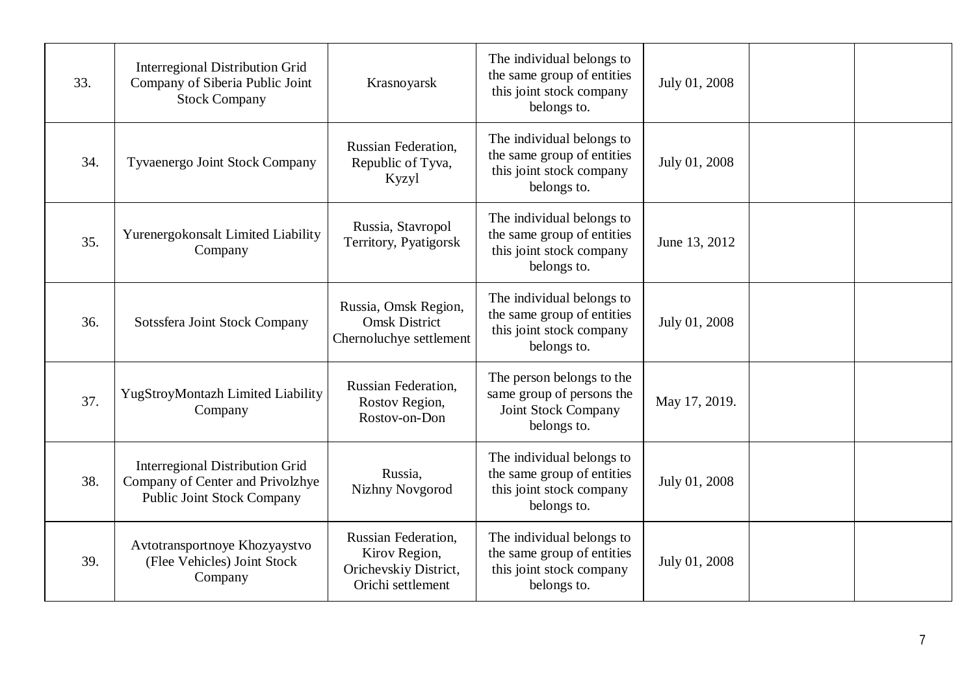| 33. | <b>Interregional Distribution Grid</b><br>Company of Siberia Public Joint<br><b>Stock Company</b>               | Krasnoyarsk                                                                        | The individual belongs to<br>the same group of entities<br>this joint stock company<br>belongs to.  | July 01, 2008 |  |
|-----|-----------------------------------------------------------------------------------------------------------------|------------------------------------------------------------------------------------|-----------------------------------------------------------------------------------------------------|---------------|--|
| 34. | Tyvaenergo Joint Stock Company                                                                                  | <b>Russian Federation,</b><br>Republic of Tyva,<br>Kyzyl                           | The individual belongs to<br>the same group of entities<br>this joint stock company<br>belongs to.  | July 01, 2008 |  |
| 35. | Yurenergokonsalt Limited Liability<br>Company                                                                   | Russia, Stavropol<br>Territory, Pyatigorsk                                         | The individual belongs to<br>the same group of entities<br>this joint stock company<br>belongs to.  | June 13, 2012 |  |
| 36. | Sotssfera Joint Stock Company                                                                                   | Russia, Omsk Region,<br><b>Omsk District</b><br>Chernoluchye settlement            | The individual belongs to<br>the same group of entities<br>this joint stock company<br>belongs to.  | July 01, 2008 |  |
| 37. | YugStroyMontazh Limited Liability<br>Company                                                                    | <b>Russian Federation,</b><br>Rostov Region,<br>Rostov-on-Don                      | The person belongs to the<br>same group of persons the<br><b>Joint Stock Company</b><br>belongs to. | May 17, 2019. |  |
| 38. | <b>Interregional Distribution Grid</b><br>Company of Center and Privolzhye<br><b>Public Joint Stock Company</b> | Russia,<br><b>Nizhny Novgorod</b>                                                  | The individual belongs to<br>the same group of entities<br>this joint stock company<br>belongs to.  | July 01, 2008 |  |
| 39. | Avtotransportnoye Khozyaystvo<br>(Flee Vehicles) Joint Stock<br>Company                                         | Russian Federation,<br>Kirov Region,<br>Orichevskiy District,<br>Orichi settlement | The individual belongs to<br>the same group of entities<br>this joint stock company<br>belongs to.  | July 01, 2008 |  |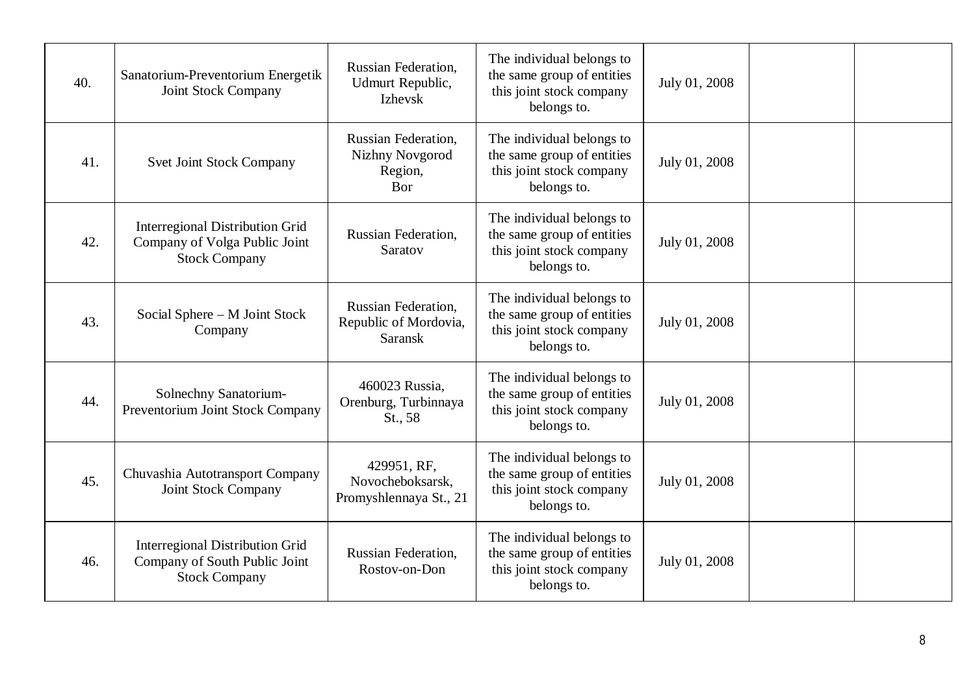| 40. | Sanatorium-Preventorium Energetik<br>Joint Stock Company                                        | Russian Federation,<br>Udmurt Republic,<br>Izhevsk             | The individual belongs to<br>the same group of entities<br>this joint stock company<br>belongs to. | July 01, 2008 |  |
|-----|-------------------------------------------------------------------------------------------------|----------------------------------------------------------------|----------------------------------------------------------------------------------------------------|---------------|--|
| 41. | <b>Svet Joint Stock Company</b>                                                                 | Russian Federation,<br>Nizhny Novgorod<br>Region,<br>Bor       | The individual belongs to<br>the same group of entities<br>this joint stock company<br>belongs to. | July 01, 2008 |  |
| 42. | <b>Interregional Distribution Grid</b><br>Company of Volga Public Joint<br><b>Stock Company</b> | <b>Russian Federation,</b><br>Saratov                          | The individual belongs to<br>the same group of entities<br>this joint stock company<br>belongs to. | July 01, 2008 |  |
| 43. | Social Sphere - M Joint Stock<br>Company                                                        | Russian Federation,<br>Republic of Mordovia,<br><b>Saransk</b> | The individual belongs to<br>the same group of entities<br>this joint stock company<br>belongs to. | July 01, 2008 |  |
| 44. | Solnechny Sanatorium-<br>Preventorium Joint Stock Company                                       | 460023 Russia,<br>Orenburg, Turbinnaya<br>St., 58              | The individual belongs to<br>the same group of entities<br>this joint stock company<br>belongs to. | July 01, 2008 |  |
| 45. | Chuvashia Autotransport Company<br><b>Joint Stock Company</b>                                   | 429951, RF,<br>Novocheboksarsk,<br>Promyshlennaya St., 21      | The individual belongs to<br>the same group of entities<br>this joint stock company<br>belongs to. | July 01, 2008 |  |
| 46. | <b>Interregional Distribution Grid</b><br>Company of South Public Joint<br><b>Stock Company</b> | <b>Russian Federation,</b><br>Rostov-on-Don                    | The individual belongs to<br>the same group of entities<br>this joint stock company<br>belongs to. | July 01, 2008 |  |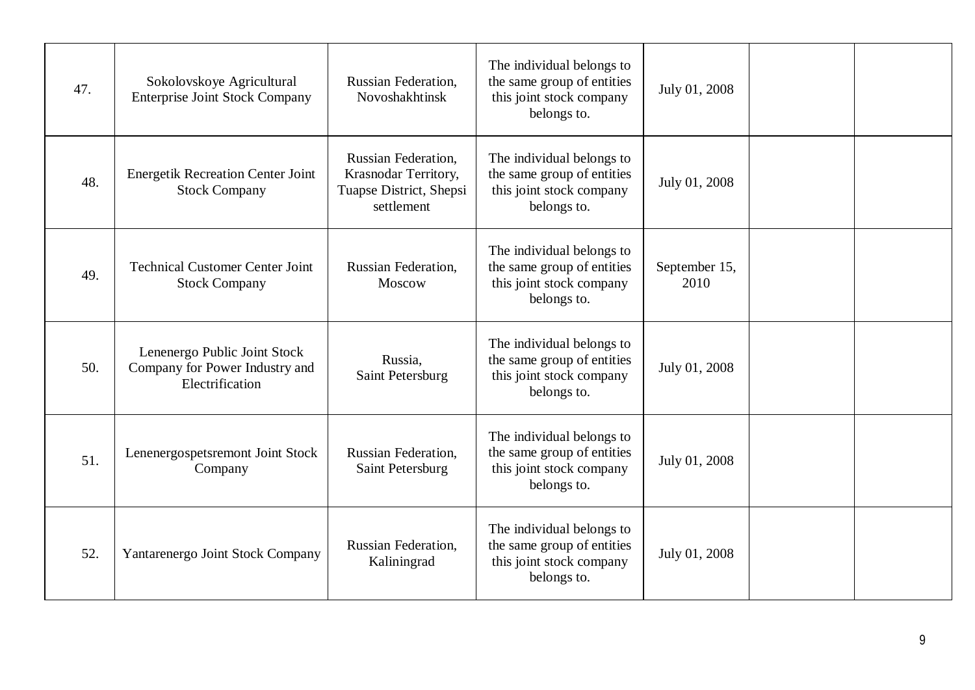| 47. | Sokolovskoye Agricultural<br><b>Enterprise Joint Stock Company</b>                | Russian Federation,<br>Novoshakhtinsk                                                | The individual belongs to<br>the same group of entities<br>this joint stock company<br>belongs to. | July 01, 2008         |  |
|-----|-----------------------------------------------------------------------------------|--------------------------------------------------------------------------------------|----------------------------------------------------------------------------------------------------|-----------------------|--|
| 48. | <b>Energetik Recreation Center Joint</b><br><b>Stock Company</b>                  | Russian Federation,<br>Krasnodar Territory,<br>Tuapse District, Shepsi<br>settlement | The individual belongs to<br>the same group of entities<br>this joint stock company<br>belongs to. | July 01, 2008         |  |
| 49. | <b>Technical Customer Center Joint</b><br><b>Stock Company</b>                    | <b>Russian Federation,</b><br>Moscow                                                 | The individual belongs to<br>the same group of entities<br>this joint stock company<br>belongs to. | September 15,<br>2010 |  |
| 50. | Lenenergo Public Joint Stock<br>Company for Power Industry and<br>Electrification | Russia,<br>Saint Petersburg                                                          | The individual belongs to<br>the same group of entities<br>this joint stock company<br>belongs to. | July 01, 2008         |  |
| 51. | Lenenergospetsremont Joint Stock<br>Company                                       | <b>Russian Federation,</b><br>Saint Petersburg                                       | The individual belongs to<br>the same group of entities<br>this joint stock company<br>belongs to. | July 01, 2008         |  |
| 52. | Yantarenergo Joint Stock Company                                                  | <b>Russian Federation,</b><br>Kaliningrad                                            | The individual belongs to<br>the same group of entities<br>this joint stock company<br>belongs to. | July 01, 2008         |  |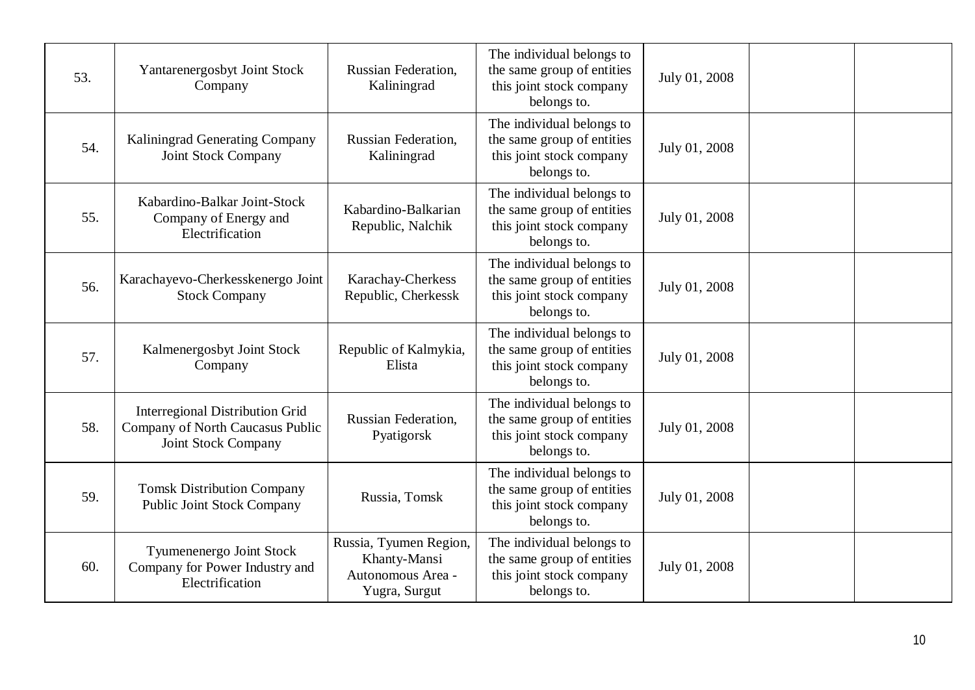| 53. | Yantarenergosbyt Joint Stock<br>Company                                                                  | Russian Federation,<br>Kaliningrad                                           | The individual belongs to<br>the same group of entities<br>this joint stock company<br>belongs to. | July 01, 2008 |  |
|-----|----------------------------------------------------------------------------------------------------------|------------------------------------------------------------------------------|----------------------------------------------------------------------------------------------------|---------------|--|
| 54. | Kaliningrad Generating Company<br><b>Joint Stock Company</b>                                             | <b>Russian Federation,</b><br>Kaliningrad                                    | The individual belongs to<br>the same group of entities<br>this joint stock company<br>belongs to. | July 01, 2008 |  |
| 55. | Kabardino-Balkar Joint-Stock<br>Company of Energy and<br>Electrification                                 | Kabardino-Balkarian<br>Republic, Nalchik                                     | The individual belongs to<br>the same group of entities<br>this joint stock company<br>belongs to. | July 01, 2008 |  |
| 56. | Karachayevo-Cherkesskenergo Joint<br><b>Stock Company</b>                                                | Karachay-Cherkess<br>Republic, Cherkessk                                     | The individual belongs to<br>the same group of entities<br>this joint stock company<br>belongs to. | July 01, 2008 |  |
| 57. | Kalmenergosbyt Joint Stock<br>Company                                                                    | Republic of Kalmykia,<br>Elista                                              | The individual belongs to<br>the same group of entities<br>this joint stock company<br>belongs to. | July 01, 2008 |  |
| 58. | <b>Interregional Distribution Grid</b><br>Company of North Caucasus Public<br><b>Joint Stock Company</b> | <b>Russian Federation,</b><br>Pyatigorsk                                     | The individual belongs to<br>the same group of entities<br>this joint stock company<br>belongs to. | July 01, 2008 |  |
| 59. | <b>Tomsk Distribution Company</b><br><b>Public Joint Stock Company</b>                                   | Russia, Tomsk                                                                | The individual belongs to<br>the same group of entities<br>this joint stock company<br>belongs to. | July 01, 2008 |  |
| 60. | Tyumenenergo Joint Stock<br>Company for Power Industry and<br>Electrification                            | Russia, Tyumen Region,<br>Khanty-Mansi<br>Autonomous Area -<br>Yugra, Surgut | The individual belongs to<br>the same group of entities<br>this joint stock company<br>belongs to. | July 01, 2008 |  |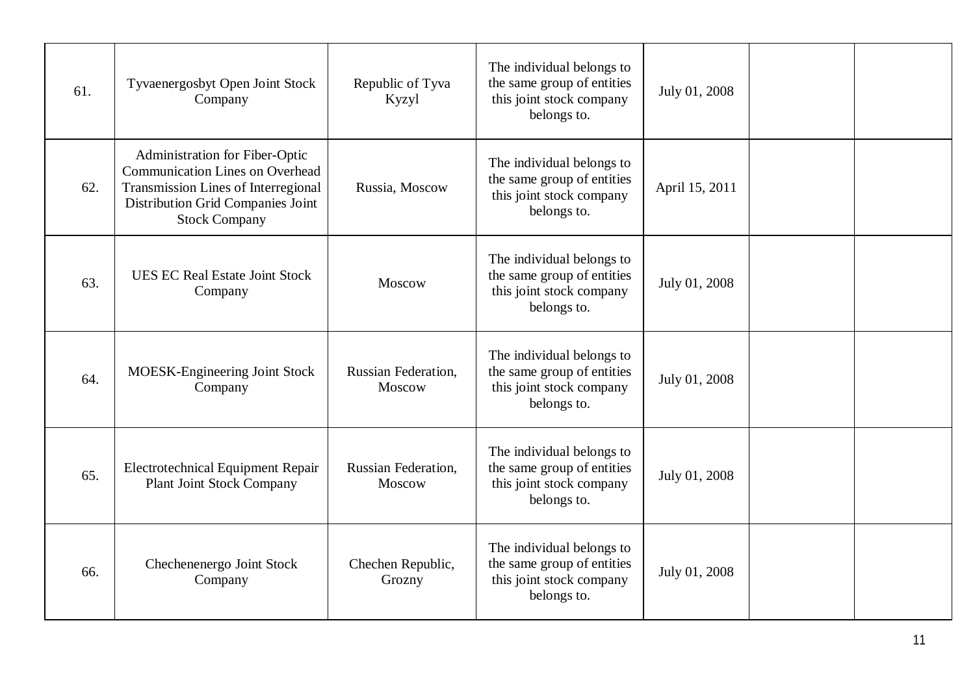| 61. | Tyvaenergosbyt Open Joint Stock<br>Company                                                                                                                                          | Republic of Tyva<br>Kyzyl            | The individual belongs to<br>the same group of entities<br>this joint stock company<br>belongs to. | July 01, 2008  |  |
|-----|-------------------------------------------------------------------------------------------------------------------------------------------------------------------------------------|--------------------------------------|----------------------------------------------------------------------------------------------------|----------------|--|
| 62. | Administration for Fiber-Optic<br><b>Communication Lines on Overhead</b><br><b>Transmission Lines of Interregional</b><br>Distribution Grid Companies Joint<br><b>Stock Company</b> | Russia, Moscow                       | The individual belongs to<br>the same group of entities<br>this joint stock company<br>belongs to. | April 15, 2011 |  |
| 63. | <b>UES EC Real Estate Joint Stock</b><br>Company                                                                                                                                    | Moscow                               | The individual belongs to<br>the same group of entities<br>this joint stock company<br>belongs to. | July 01, 2008  |  |
| 64. | MOESK-Engineering Joint Stock<br>Company                                                                                                                                            | <b>Russian Federation,</b><br>Moscow | The individual belongs to<br>the same group of entities<br>this joint stock company<br>belongs to. | July 01, 2008  |  |
| 65. | <b>Electrotechnical Equipment Repair</b><br><b>Plant Joint Stock Company</b>                                                                                                        | <b>Russian Federation,</b><br>Moscow | The individual belongs to<br>the same group of entities<br>this joint stock company<br>belongs to. | July 01, 2008  |  |
| 66. | Chechenenergo Joint Stock<br>Company                                                                                                                                                | Chechen Republic,<br>Grozny          | The individual belongs to<br>the same group of entities<br>this joint stock company<br>belongs to. | July 01, 2008  |  |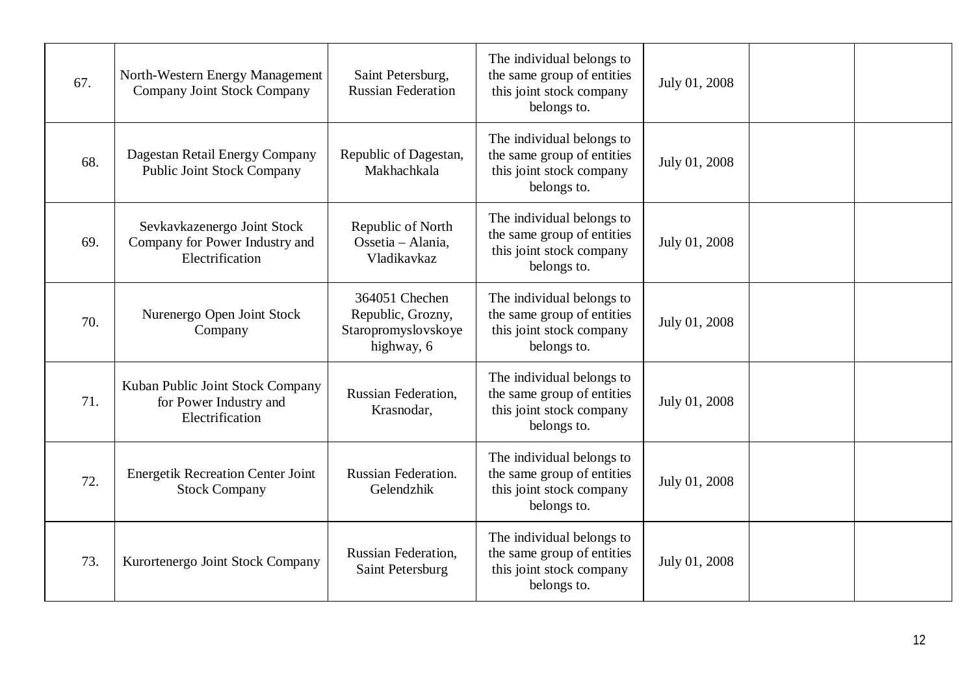| 67. | North-Western Energy Management<br>Company Joint Stock Company                   | Saint Petersburg,<br><b>Russian Federation</b>                           | The individual belongs to<br>the same group of entities<br>this joint stock company<br>belongs to. | July 01, 2008 |  |
|-----|----------------------------------------------------------------------------------|--------------------------------------------------------------------------|----------------------------------------------------------------------------------------------------|---------------|--|
| 68. | Dagestan Retail Energy Company<br><b>Public Joint Stock Company</b>              | Republic of Dagestan,<br>Makhachkala                                     | The individual belongs to<br>the same group of entities<br>this joint stock company<br>belongs to. | July 01, 2008 |  |
| 69. | Sevkavkazenergo Joint Stock<br>Company for Power Industry and<br>Electrification | Republic of North<br>Ossetia - Alania,<br>Vladikavkaz                    | The individual belongs to<br>the same group of entities<br>this joint stock company<br>belongs to. | July 01, 2008 |  |
| 70. | Nurenergo Open Joint Stock<br>Company                                            | 364051 Chechen<br>Republic, Grozny,<br>Staropromyslovskoye<br>highway, 6 | The individual belongs to<br>the same group of entities<br>this joint stock company<br>belongs to. | July 01, 2008 |  |
| 71. | Kuban Public Joint Stock Company<br>for Power Industry and<br>Electrification    | Russian Federation,<br>Krasnodar,                                        | The individual belongs to<br>the same group of entities<br>this joint stock company<br>belongs to. | July 01, 2008 |  |
| 72. | <b>Energetik Recreation Center Joint</b><br><b>Stock Company</b>                 | Russian Federation.<br>Gelendzhik                                        | The individual belongs to<br>the same group of entities<br>this joint stock company<br>belongs to. | July 01, 2008 |  |
| 73. | Kurortenergo Joint Stock Company                                                 | <b>Russian Federation,</b><br>Saint Petersburg                           | The individual belongs to<br>the same group of entities<br>this joint stock company<br>belongs to. | July 01, 2008 |  |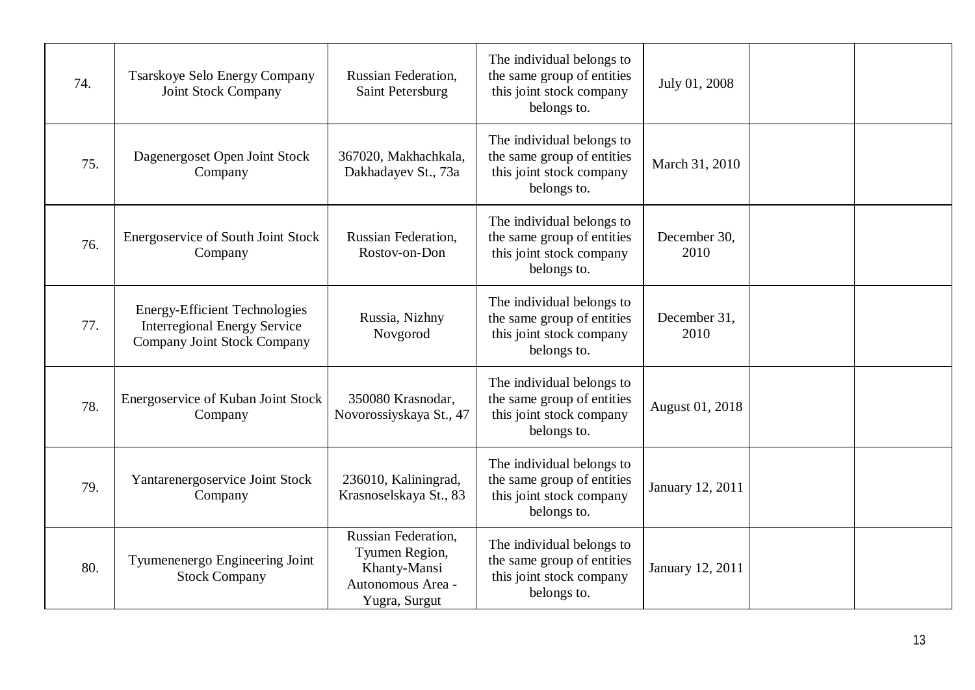| 74. | <b>Tsarskoye Selo Energy Company</b><br><b>Joint Stock Company</b>                                         | Russian Federation,<br>Saint Petersburg                                                     | The individual belongs to<br>the same group of entities<br>this joint stock company<br>belongs to. | July 01, 2008        |  |
|-----|------------------------------------------------------------------------------------------------------------|---------------------------------------------------------------------------------------------|----------------------------------------------------------------------------------------------------|----------------------|--|
| 75. | Dagenergoset Open Joint Stock<br>Company                                                                   | 367020, Makhachkala,<br>Dakhadayev St., 73a                                                 | The individual belongs to<br>the same group of entities<br>this joint stock company<br>belongs to. | March 31, 2010       |  |
| 76. | Energoservice of South Joint Stock<br>Company                                                              | <b>Russian Federation,</b><br>Rostov-on-Don                                                 | The individual belongs to<br>the same group of entities<br>this joint stock company<br>belongs to. | December 30,<br>2010 |  |
| 77. | <b>Energy-Efficient Technologies</b><br><b>Interregional Energy Service</b><br>Company Joint Stock Company | Russia, Nizhny<br>Novgorod                                                                  | The individual belongs to<br>the same group of entities<br>this joint stock company<br>belongs to. | December 31,<br>2010 |  |
| 78. | Energoservice of Kuban Joint Stock<br>Company                                                              | 350080 Krasnodar,<br>Novorossiyskaya St., 47                                                | The individual belongs to<br>the same group of entities<br>this joint stock company<br>belongs to. | August 01, 2018      |  |
| 79. | Yantarenergoservice Joint Stock<br>Company                                                                 | 236010, Kaliningrad,<br>Krasnoselskaya St., 83                                              | The individual belongs to<br>the same group of entities<br>this joint stock company<br>belongs to. | January 12, 2011     |  |
| 80. | Tyumenenergo Engineering Joint<br><b>Stock Company</b>                                                     | Russian Federation.<br>Tyumen Region,<br>Khanty-Mansi<br>Autonomous Area -<br>Yugra, Surgut | The individual belongs to<br>the same group of entities<br>this joint stock company<br>belongs to. | January 12, 2011     |  |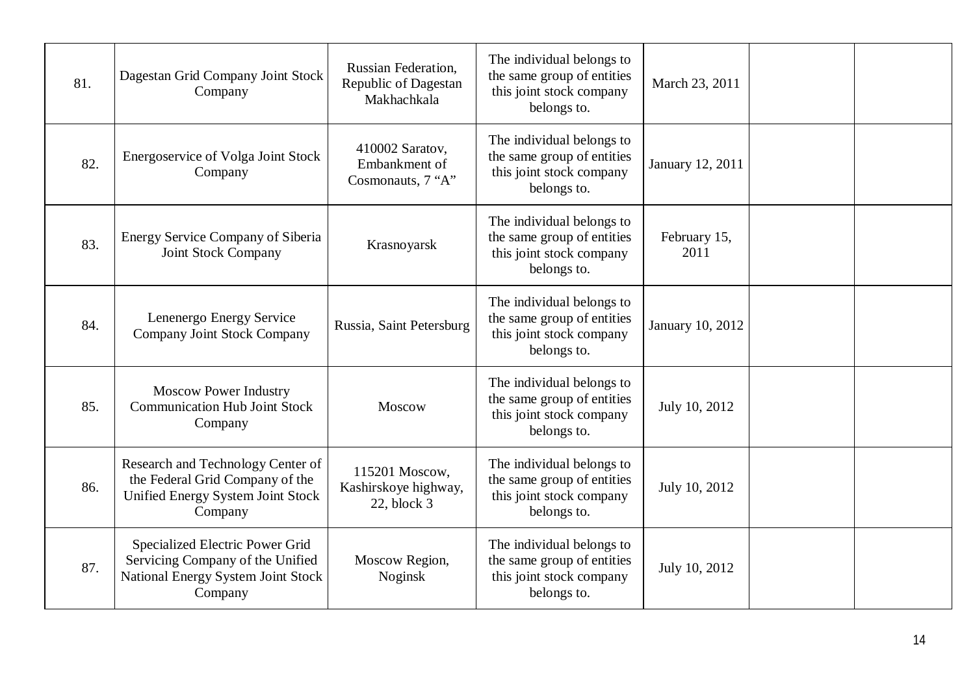| 81. | Dagestan Grid Company Joint Stock<br>Company                                                                                | Russian Federation,<br>Republic of Dagestan<br>Makhachkala | The individual belongs to<br>the same group of entities<br>this joint stock company<br>belongs to. | March 23, 2011       |  |
|-----|-----------------------------------------------------------------------------------------------------------------------------|------------------------------------------------------------|----------------------------------------------------------------------------------------------------|----------------------|--|
| 82. | <b>Energoservice of Volga Joint Stock</b><br>Company                                                                        | 410002 Saratov,<br>Embankment of<br>Cosmonauts, 7 "A"      | The individual belongs to<br>the same group of entities<br>this joint stock company<br>belongs to. | January 12, 2011     |  |
| 83. | <b>Energy Service Company of Siberia</b><br>Joint Stock Company                                                             | Krasnoyarsk                                                | The individual belongs to<br>the same group of entities<br>this joint stock company<br>belongs to. | February 15,<br>2011 |  |
| 84. | Lenenergo Energy Service<br><b>Company Joint Stock Company</b>                                                              | Russia, Saint Petersburg                                   | The individual belongs to<br>the same group of entities<br>this joint stock company<br>belongs to. | January 10, 2012     |  |
| 85. | <b>Moscow Power Industry</b><br><b>Communication Hub Joint Stock</b><br>Company                                             | Moscow                                                     | The individual belongs to<br>the same group of entities<br>this joint stock company<br>belongs to. | July 10, 2012        |  |
| 86. | Research and Technology Center of<br>the Federal Grid Company of the<br><b>Unified Energy System Joint Stock</b><br>Company | 115201 Moscow,<br>Kashirskoye highway,<br>$22$ , block $3$ | The individual belongs to<br>the same group of entities<br>this joint stock company<br>belongs to. | July 10, 2012        |  |
| 87. | Specialized Electric Power Grid<br>Servicing Company of the Unified<br><b>National Energy System Joint Stock</b><br>Company | Moscow Region,<br>Noginsk                                  | The individual belongs to<br>the same group of entities<br>this joint stock company<br>belongs to. | July 10, 2012        |  |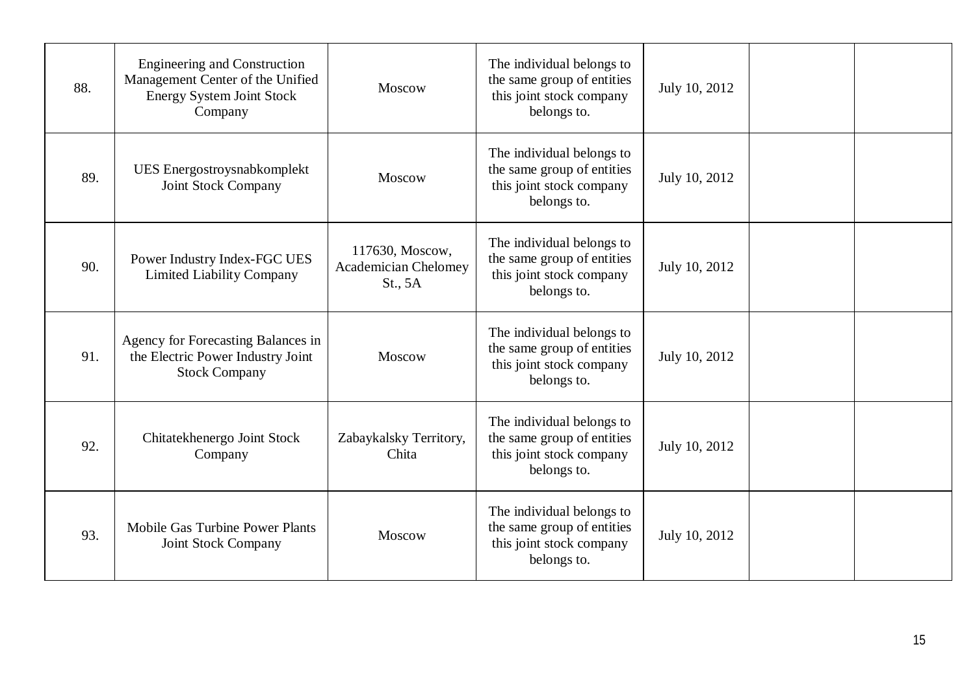| 88. | <b>Engineering and Construction</b><br>Management Center of the Unified<br><b>Energy System Joint Stock</b><br>Company | Moscow                                                    | The individual belongs to<br>the same group of entities<br>this joint stock company<br>belongs to. | July 10, 2012 |  |
|-----|------------------------------------------------------------------------------------------------------------------------|-----------------------------------------------------------|----------------------------------------------------------------------------------------------------|---------------|--|
| 89. | UES Energostroysnabkomplekt<br><b>Joint Stock Company</b>                                                              | Moscow                                                    | The individual belongs to<br>the same group of entities<br>this joint stock company<br>belongs to. | July 10, 2012 |  |
| 90. | Power Industry Index-FGC UES<br><b>Limited Liability Company</b>                                                       | 117630, Moscow,<br><b>Academician Chelomey</b><br>St., 5A | The individual belongs to<br>the same group of entities<br>this joint stock company<br>belongs to. | July 10, 2012 |  |
| 91. | Agency for Forecasting Balances in<br>the Electric Power Industry Joint<br><b>Stock Company</b>                        | Moscow                                                    | The individual belongs to<br>the same group of entities<br>this joint stock company<br>belongs to. | July 10, 2012 |  |
| 92. | Chitatekhenergo Joint Stock<br>Company                                                                                 | Zabaykalsky Territory,<br>Chita                           | The individual belongs to<br>the same group of entities<br>this joint stock company<br>belongs to. | July 10, 2012 |  |
| 93. | Mobile Gas Turbine Power Plants<br>Joint Stock Company                                                                 | Moscow                                                    | The individual belongs to<br>the same group of entities<br>this joint stock company<br>belongs to. | July 10, 2012 |  |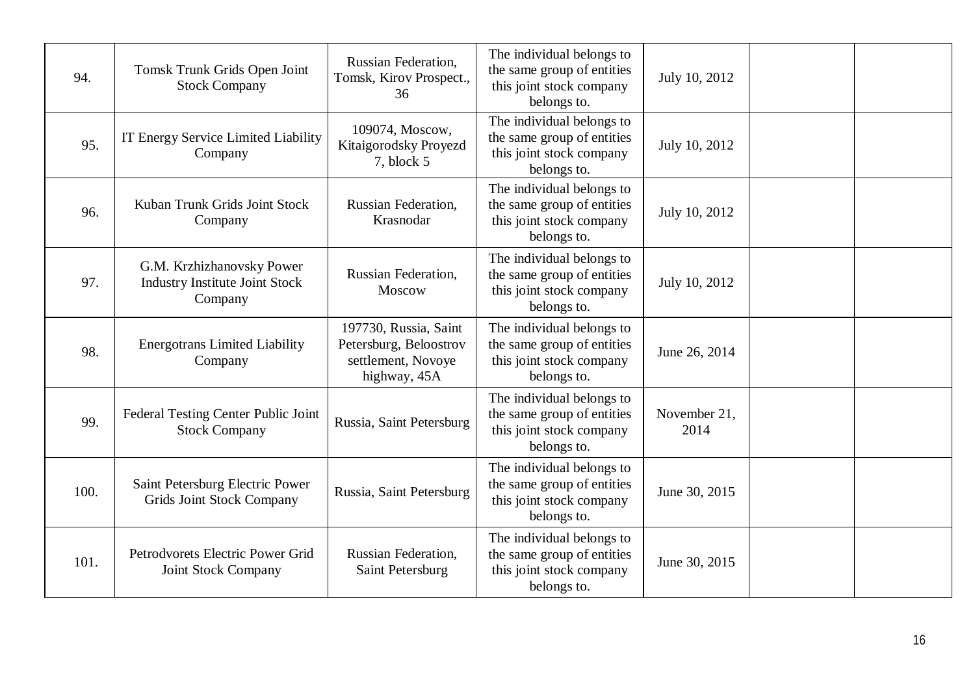| 94.  | Tomsk Trunk Grids Open Joint<br><b>Stock Company</b>                          | Russian Federation,<br>Tomsk, Kirov Prospect.,<br>36                                  | The individual belongs to<br>the same group of entities<br>this joint stock company<br>belongs to. | July 10, 2012        |  |
|------|-------------------------------------------------------------------------------|---------------------------------------------------------------------------------------|----------------------------------------------------------------------------------------------------|----------------------|--|
| 95.  | IT Energy Service Limited Liability<br>Company                                | 109074, Moscow,<br>Kitaigorodsky Proyezd<br>7, block 5                                | The individual belongs to<br>the same group of entities<br>this joint stock company<br>belongs to. | July 10, 2012        |  |
| 96.  | Kuban Trunk Grids Joint Stock<br>Company                                      | Russian Federation,<br>Krasnodar                                                      | The individual belongs to<br>the same group of entities<br>this joint stock company<br>belongs to. | July 10, 2012        |  |
| 97.  | G.M. Krzhizhanovsky Power<br><b>Industry Institute Joint Stock</b><br>Company | <b>Russian Federation,</b><br>Moscow                                                  | The individual belongs to<br>the same group of entities<br>this joint stock company<br>belongs to. | July 10, 2012        |  |
| 98.  | <b>Energotrans Limited Liability</b><br>Company                               | 197730, Russia, Saint<br>Petersburg, Beloostrov<br>settlement, Novoye<br>highway, 45A | The individual belongs to<br>the same group of entities<br>this joint stock company<br>belongs to. | June 26, 2014        |  |
| 99.  | Federal Testing Center Public Joint<br><b>Stock Company</b>                   | Russia, Saint Petersburg                                                              | The individual belongs to<br>the same group of entities<br>this joint stock company<br>belongs to. | November 21,<br>2014 |  |
| 100. | Saint Petersburg Electric Power<br><b>Grids Joint Stock Company</b>           | Russia, Saint Petersburg                                                              | The individual belongs to<br>the same group of entities<br>this joint stock company<br>belongs to. | June 30, 2015        |  |
| 101. | Petrodyorets Electric Power Grid<br>Joint Stock Company                       | <b>Russian Federation,</b><br>Saint Petersburg                                        | The individual belongs to<br>the same group of entities<br>this joint stock company<br>belongs to. | June 30, 2015        |  |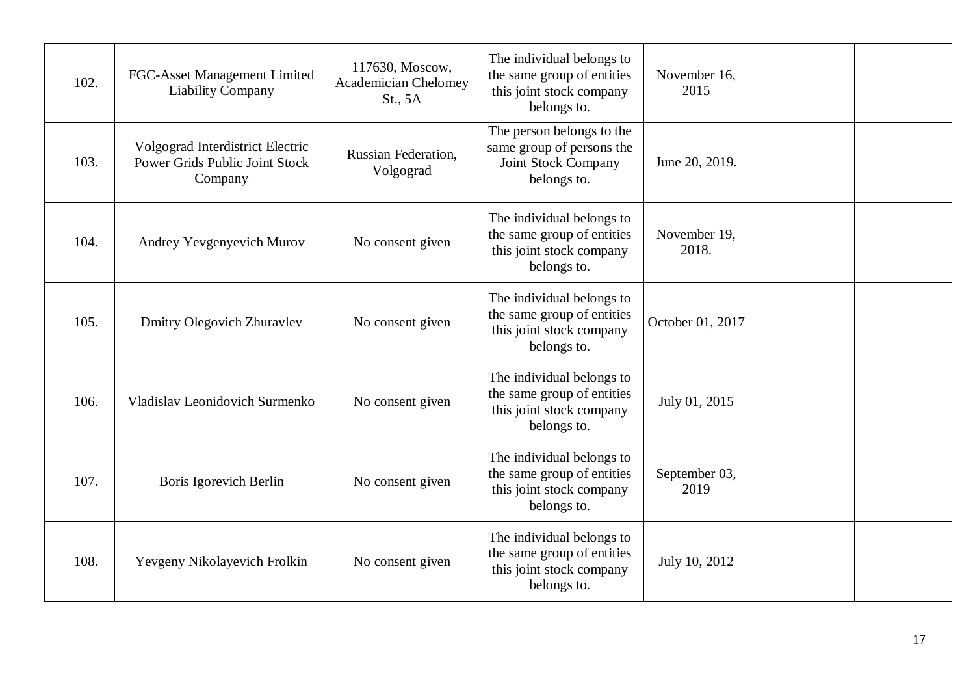| 102. | FGC-Asset Management Limited<br><b>Liability Company</b>                      | 117630, Moscow,<br><b>Academician Chelomey</b><br>St., 5A | The individual belongs to<br>the same group of entities<br>this joint stock company<br>belongs to. | November 16,<br>2015  |  |
|------|-------------------------------------------------------------------------------|-----------------------------------------------------------|----------------------------------------------------------------------------------------------------|-----------------------|--|
| 103. | Volgograd Interdistrict Electric<br>Power Grids Public Joint Stock<br>Company | <b>Russian Federation.</b><br>Volgograd                   | The person belongs to the<br>same group of persons the<br>Joint Stock Company<br>belongs to.       | June 20, 2019.        |  |
| 104. | Andrey Yevgenyevich Murov                                                     | No consent given                                          | The individual belongs to<br>the same group of entities<br>this joint stock company<br>belongs to. | November 19,<br>2018. |  |
| 105. | Dmitry Olegovich Zhuravlev                                                    | No consent given                                          | The individual belongs to<br>the same group of entities<br>this joint stock company<br>belongs to. | October 01, 2017      |  |
| 106. | Vladislav Leonidovich Surmenko                                                | No consent given                                          | The individual belongs to<br>the same group of entities<br>this joint stock company<br>belongs to. | July 01, 2015         |  |
| 107. | Boris Igorevich Berlin                                                        | No consent given                                          | The individual belongs to<br>the same group of entities<br>this joint stock company<br>belongs to. | September 03,<br>2019 |  |
| 108. | Yevgeny Nikolayevich Frolkin                                                  | No consent given                                          | The individual belongs to<br>the same group of entities<br>this joint stock company<br>belongs to. | July 10, 2012         |  |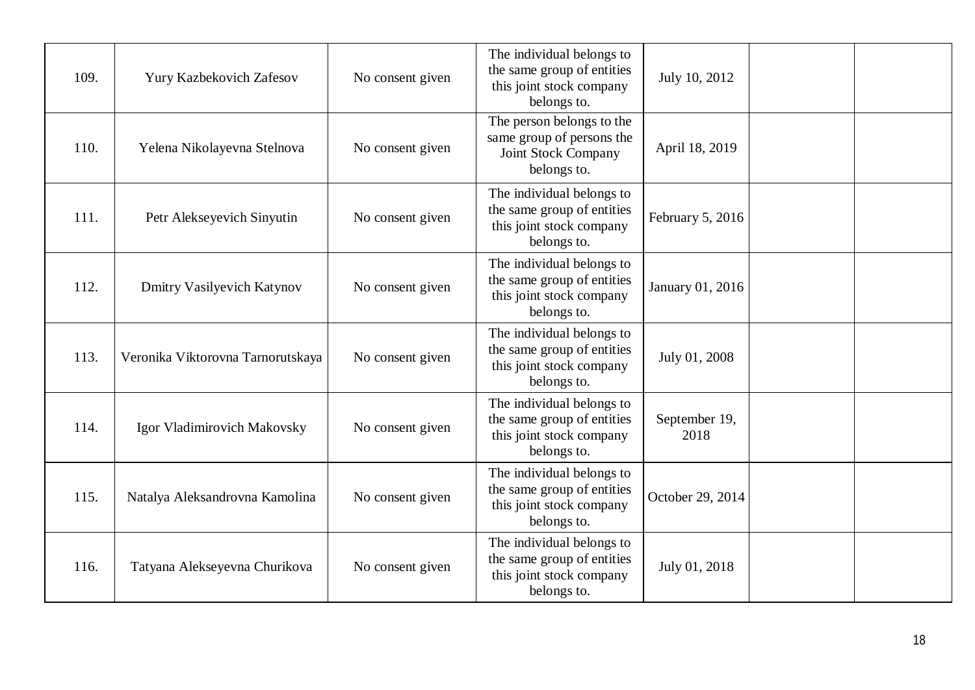| 109. | Yury Kazbekovich Zafesov          | No consent given | The individual belongs to<br>the same group of entities<br>this joint stock company<br>belongs to. | July 10, 2012         |  |
|------|-----------------------------------|------------------|----------------------------------------------------------------------------------------------------|-----------------------|--|
| 110. | Yelena Nikolayevna Stelnova       | No consent given | The person belongs to the<br>same group of persons the<br>Joint Stock Company<br>belongs to.       | April 18, 2019        |  |
| 111. | Petr Alekseyevich Sinyutin        | No consent given | The individual belongs to<br>the same group of entities<br>this joint stock company<br>belongs to. | February 5, 2016      |  |
| 112. | <b>Dmitry Vasilyevich Katynov</b> | No consent given | The individual belongs to<br>the same group of entities<br>this joint stock company<br>belongs to. | January 01, 2016      |  |
| 113. | Veronika Viktorovna Tarnorutskaya | No consent given | The individual belongs to<br>the same group of entities<br>this joint stock company<br>belongs to. | July 01, 2008         |  |
| 114. | Igor Vladimirovich Makovsky       | No consent given | The individual belongs to<br>the same group of entities<br>this joint stock company<br>belongs to. | September 19,<br>2018 |  |
| 115. | Natalya Aleksandrovna Kamolina    | No consent given | The individual belongs to<br>the same group of entities<br>this joint stock company<br>belongs to. | October 29, 2014      |  |
| 116. | Tatyana Alekseyevna Churikova     | No consent given | The individual belongs to<br>the same group of entities<br>this joint stock company<br>belongs to. | July 01, 2018         |  |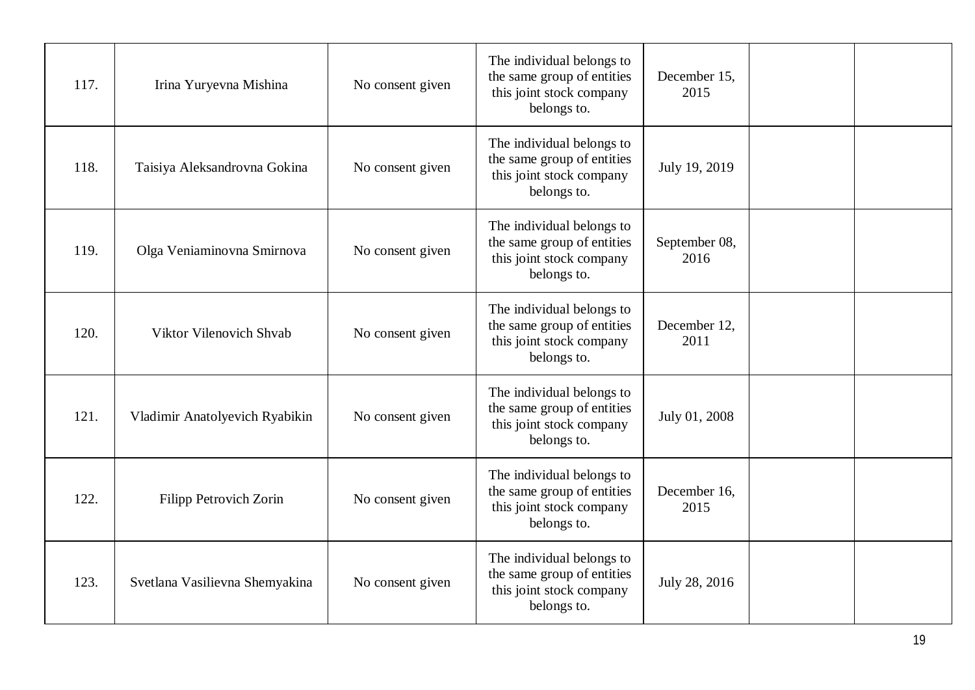| 117. | Irina Yuryevna Mishina         | No consent given | The individual belongs to<br>the same group of entities<br>this joint stock company<br>belongs to. | December 15,<br>2015  |  |
|------|--------------------------------|------------------|----------------------------------------------------------------------------------------------------|-----------------------|--|
| 118. | Taisiya Aleksandrovna Gokina   | No consent given | The individual belongs to<br>the same group of entities<br>this joint stock company<br>belongs to. | July 19, 2019         |  |
| 119. | Olga Veniaminovna Smirnova     | No consent given | The individual belongs to<br>the same group of entities<br>this joint stock company<br>belongs to. | September 08,<br>2016 |  |
| 120. | Viktor Vilenovich Shvab        | No consent given | The individual belongs to<br>the same group of entities<br>this joint stock company<br>belongs to. | December 12,<br>2011  |  |
| 121. | Vladimir Anatolyevich Ryabikin | No consent given | The individual belongs to<br>the same group of entities<br>this joint stock company<br>belongs to. | July 01, 2008         |  |
| 122. | <b>Filipp Petrovich Zorin</b>  | No consent given | The individual belongs to<br>the same group of entities<br>this joint stock company<br>belongs to. | December 16,<br>2015  |  |
| 123. | Svetlana Vasilievna Shemyakina | No consent given | The individual belongs to<br>the same group of entities<br>this joint stock company<br>belongs to. | July 28, 2016         |  |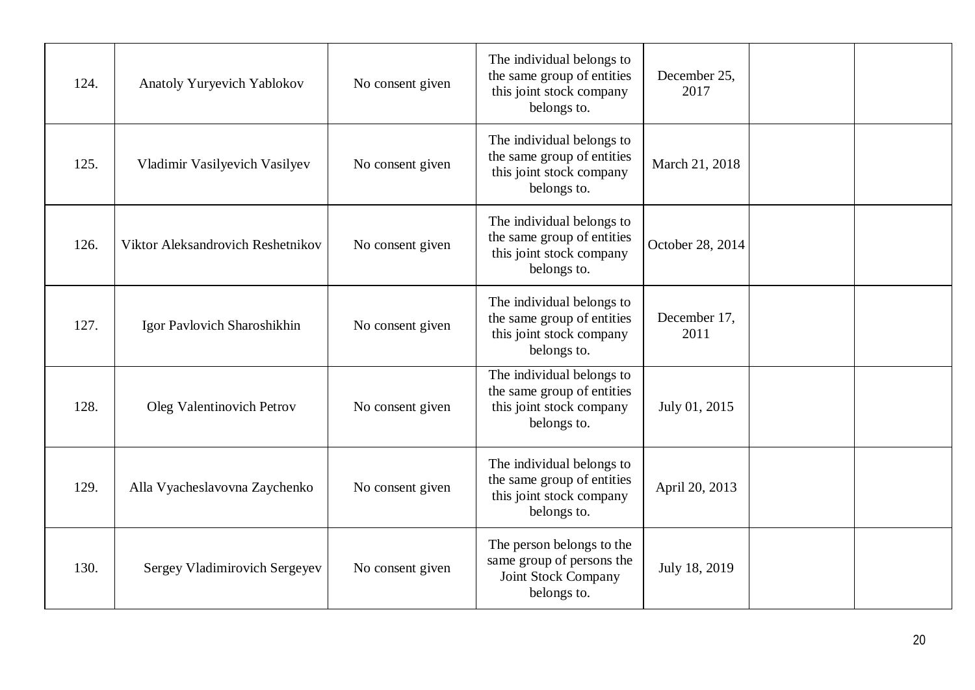| 124. | Anatoly Yuryevich Yablokov        | No consent given | The individual belongs to<br>the same group of entities<br>this joint stock company<br>belongs to. | December 25,<br>2017 |  |
|------|-----------------------------------|------------------|----------------------------------------------------------------------------------------------------|----------------------|--|
| 125. | Vladimir Vasilyevich Vasilyev     | No consent given | The individual belongs to<br>the same group of entities<br>this joint stock company<br>belongs to. | March 21, 2018       |  |
| 126. | Viktor Aleksandrovich Reshetnikov | No consent given | The individual belongs to<br>the same group of entities<br>this joint stock company<br>belongs to. | October 28, 2014     |  |
| 127. | Igor Pavlovich Sharoshikhin       | No consent given | The individual belongs to<br>the same group of entities<br>this joint stock company<br>belongs to. | December 17,<br>2011 |  |
| 128. | Oleg Valentinovich Petrov         | No consent given | The individual belongs to<br>the same group of entities<br>this joint stock company<br>belongs to. | July 01, 2015        |  |
| 129. | Alla Vyacheslavovna Zaychenko     | No consent given | The individual belongs to<br>the same group of entities<br>this joint stock company<br>belongs to. | April 20, 2013       |  |
| 130. | Sergey Vladimirovich Sergeyev     | No consent given | The person belongs to the<br>same group of persons the<br>Joint Stock Company<br>belongs to.       | July 18, 2019        |  |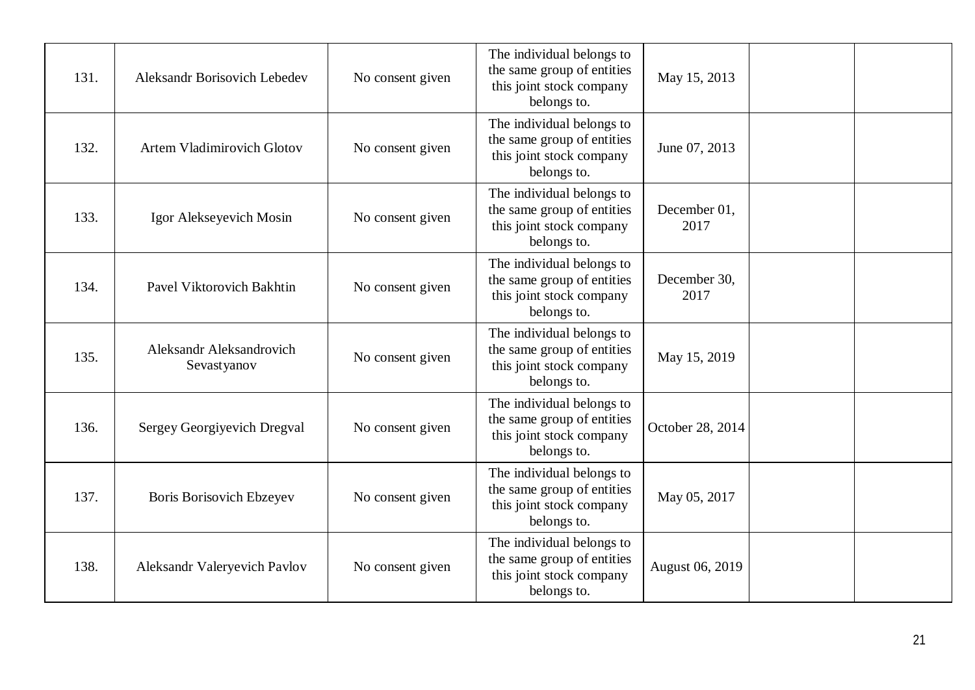| 131. | Aleksandr Borisovich Lebedev            | No consent given | The individual belongs to<br>the same group of entities<br>this joint stock company<br>belongs to. | May 15, 2013         |  |
|------|-----------------------------------------|------------------|----------------------------------------------------------------------------------------------------|----------------------|--|
| 132. | <b>Artem Vladimirovich Glotov</b>       | No consent given | The individual belongs to<br>the same group of entities<br>this joint stock company<br>belongs to. | June 07, 2013        |  |
| 133. | Igor Alekseyevich Mosin                 | No consent given | The individual belongs to<br>the same group of entities<br>this joint stock company<br>belongs to. | December 01,<br>2017 |  |
| 134. | Pavel Viktorovich Bakhtin               | No consent given | The individual belongs to<br>the same group of entities<br>this joint stock company<br>belongs to. | December 30,<br>2017 |  |
| 135. | Aleksandr Aleksandrovich<br>Sevastyanov | No consent given | The individual belongs to<br>the same group of entities<br>this joint stock company<br>belongs to. | May 15, 2019         |  |
| 136. | Sergey Georgiyevich Dregval             | No consent given | The individual belongs to<br>the same group of entities<br>this joint stock company<br>belongs to. | October 28, 2014     |  |
| 137. | <b>Boris Borisovich Ebzeyev</b>         | No consent given | The individual belongs to<br>the same group of entities<br>this joint stock company<br>belongs to. | May 05, 2017         |  |
| 138. | Aleksandr Valeryevich Pavlov            | No consent given | The individual belongs to<br>the same group of entities<br>this joint stock company<br>belongs to. | August 06, 2019      |  |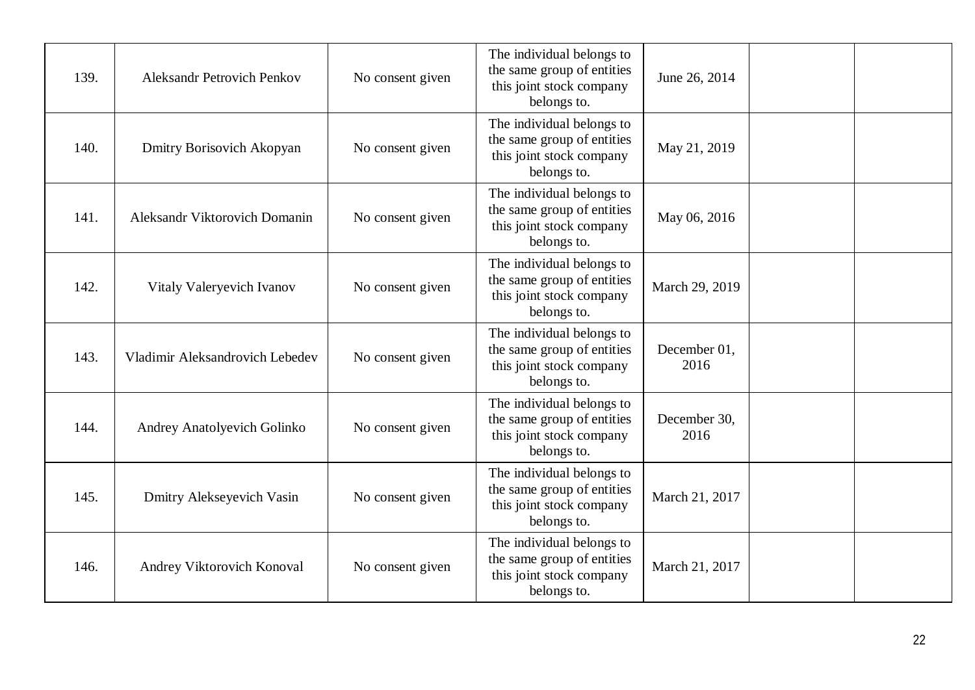| 139. | <b>Aleksandr Petrovich Penkov</b>  | No consent given | The individual belongs to<br>the same group of entities<br>this joint stock company<br>belongs to. | June 26, 2014        |  |
|------|------------------------------------|------------------|----------------------------------------------------------------------------------------------------|----------------------|--|
| 140. | Dmitry Borisovich Akopyan          | No consent given | The individual belongs to<br>the same group of entities<br>this joint stock company<br>belongs to. | May 21, 2019         |  |
| 141. | Aleksandr Viktorovich Domanin      | No consent given | The individual belongs to<br>the same group of entities<br>this joint stock company<br>belongs to. | May 06, 2016         |  |
| 142. | Vitaly Valeryevich Ivanov          | No consent given | The individual belongs to<br>the same group of entities<br>this joint stock company<br>belongs to. | March 29, 2019       |  |
| 143. | Vladimir Aleksandrovich Lebedev    | No consent given | The individual belongs to<br>the same group of entities<br>this joint stock company<br>belongs to. | December 01,<br>2016 |  |
| 144. | <b>Andrey Anatolyevich Golinko</b> | No consent given | The individual belongs to<br>the same group of entities<br>this joint stock company<br>belongs to. | December 30,<br>2016 |  |
| 145. | Dmitry Alekseyevich Vasin          | No consent given | The individual belongs to<br>the same group of entities<br>this joint stock company<br>belongs to. | March 21, 2017       |  |
| 146. | Andrey Viktorovich Konoval         | No consent given | The individual belongs to<br>the same group of entities<br>this joint stock company<br>belongs to. | March 21, 2017       |  |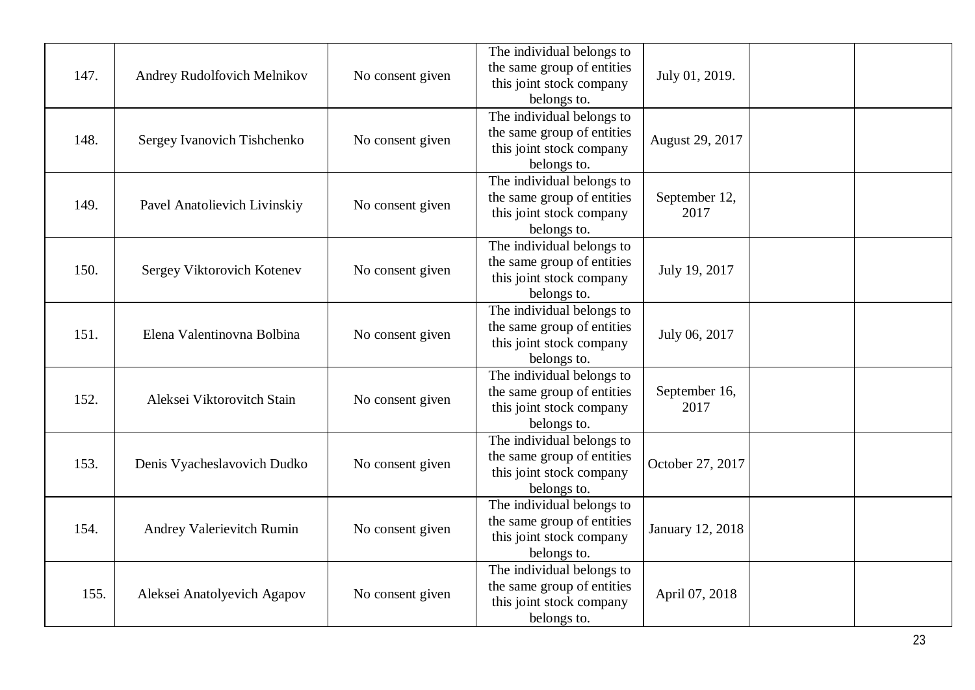| 147. | Andrey Rudolfovich Melnikov  | No consent given | The individual belongs to<br>the same group of entities<br>this joint stock company<br>belongs to. | July 01, 2019.        |  |
|------|------------------------------|------------------|----------------------------------------------------------------------------------------------------|-----------------------|--|
| 148. | Sergey Ivanovich Tishchenko  | No consent given | The individual belongs to<br>the same group of entities<br>this joint stock company<br>belongs to. | August 29, 2017       |  |
| 149. | Pavel Anatolievich Livinskiy | No consent given | The individual belongs to<br>the same group of entities<br>this joint stock company<br>belongs to. | September 12,<br>2017 |  |
| 150. | Sergey Viktorovich Kotenev   | No consent given | The individual belongs to<br>the same group of entities<br>this joint stock company<br>belongs to. | July 19, 2017         |  |
| 151. | Elena Valentinovna Bolbina   | No consent given | The individual belongs to<br>the same group of entities<br>this joint stock company<br>belongs to. | July 06, 2017         |  |
| 152. | Aleksei Viktorovitch Stain   | No consent given | The individual belongs to<br>the same group of entities<br>this joint stock company<br>belongs to. | September 16,<br>2017 |  |
| 153. | Denis Vyacheslavovich Dudko  | No consent given | The individual belongs to<br>the same group of entities<br>this joint stock company<br>belongs to. | October 27, 2017      |  |
| 154. | Andrey Valerievitch Rumin    | No consent given | The individual belongs to<br>the same group of entities<br>this joint stock company<br>belongs to. | January 12, 2018      |  |
| 155. | Aleksei Anatolyevich Agapov  | No consent given | The individual belongs to<br>the same group of entities<br>this joint stock company<br>belongs to. | April 07, 2018        |  |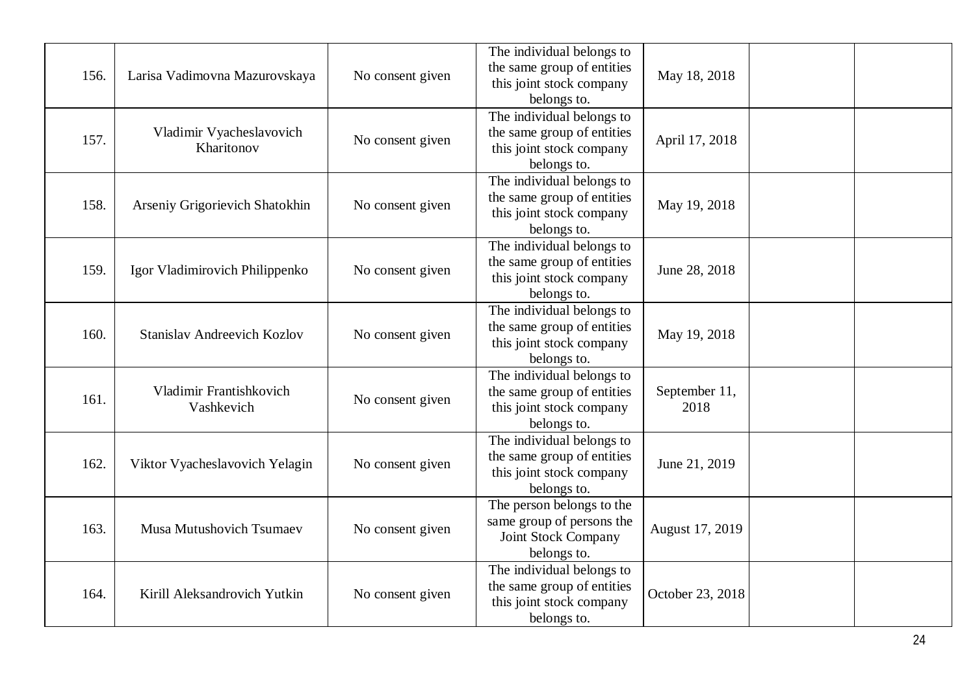| 156. | Larisa Vadimovna Mazurovskaya          | No consent given | The individual belongs to<br>the same group of entities<br>this joint stock company<br>belongs to. | May 18, 2018          |  |
|------|----------------------------------------|------------------|----------------------------------------------------------------------------------------------------|-----------------------|--|
| 157. | Vladimir Vyacheslavovich<br>Kharitonov | No consent given | The individual belongs to<br>the same group of entities<br>this joint stock company<br>belongs to. | April 17, 2018        |  |
| 158. | Arseniy Grigorievich Shatokhin         | No consent given | The individual belongs to<br>the same group of entities<br>this joint stock company<br>belongs to. | May 19, 2018          |  |
| 159. | Igor Vladimirovich Philippenko         | No consent given | The individual belongs to<br>the same group of entities<br>this joint stock company<br>belongs to. | June 28, 2018         |  |
| 160. | <b>Stanislav Andreevich Kozlov</b>     | No consent given | The individual belongs to<br>the same group of entities<br>this joint stock company<br>belongs to. | May 19, 2018          |  |
| 161. | Vladimir Frantishkovich<br>Vashkevich  | No consent given | The individual belongs to<br>the same group of entities<br>this joint stock company<br>belongs to. | September 11,<br>2018 |  |
| 162. | Viktor Vyacheslavovich Yelagin         | No consent given | The individual belongs to<br>the same group of entities<br>this joint stock company<br>belongs to. | June 21, 2019         |  |
| 163. | <b>Musa Mutushovich Tsumaev</b>        | No consent given | The person belongs to the<br>same group of persons the<br>Joint Stock Company<br>belongs to.       | August 17, 2019       |  |
| 164. | Kirill Aleksandrovich Yutkin           | No consent given | The individual belongs to<br>the same group of entities<br>this joint stock company<br>belongs to. | October 23, 2018      |  |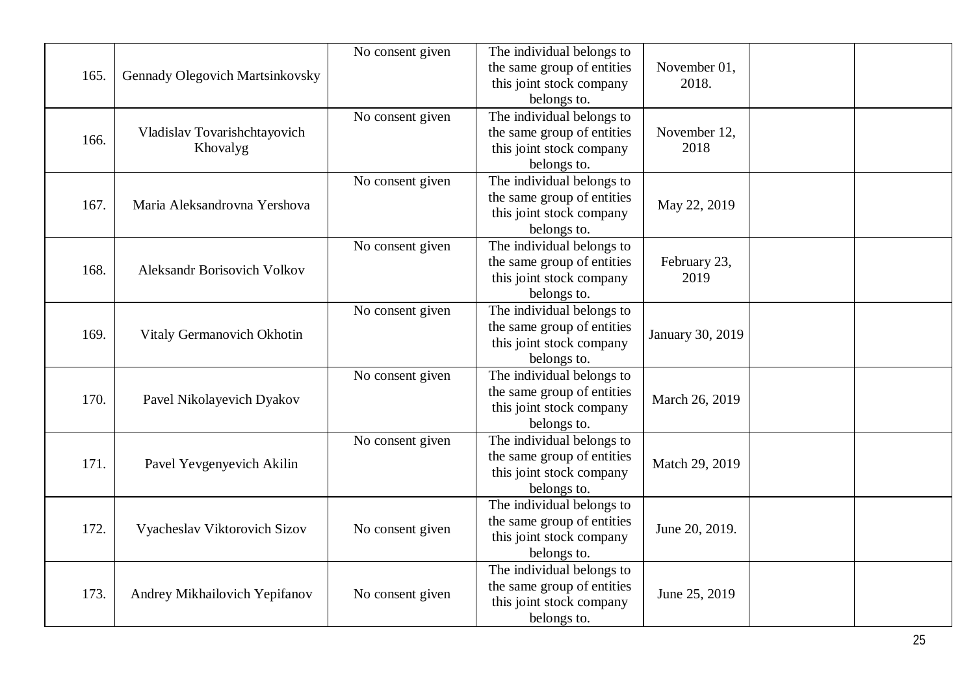| 165. | Gennady Olegovich Martsinkovsky          | No consent given | The individual belongs to<br>the same group of entities<br>this joint stock company<br>belongs to. | November 01,<br>2018. |  |
|------|------------------------------------------|------------------|----------------------------------------------------------------------------------------------------|-----------------------|--|
| 166. | Vladislav Tovarishchtayovich<br>Khovalyg | No consent given | The individual belongs to<br>the same group of entities<br>this joint stock company<br>belongs to. | November 12,<br>2018  |  |
| 167. | Maria Aleksandrovna Yershova             | No consent given | The individual belongs to<br>the same group of entities<br>this joint stock company<br>belongs to. | May 22, 2019          |  |
| 168. | <b>Aleksandr Borisovich Volkov</b>       | No consent given | The individual belongs to<br>the same group of entities<br>this joint stock company<br>belongs to. | February 23,<br>2019  |  |
| 169. | Vitaly Germanovich Okhotin               | No consent given | The individual belongs to<br>the same group of entities<br>this joint stock company<br>belongs to. | January 30, 2019      |  |
| 170. | Pavel Nikolayevich Dyakov                | No consent given | The individual belongs to<br>the same group of entities<br>this joint stock company<br>belongs to. | March 26, 2019        |  |
| 171. | Pavel Yevgenyevich Akilin                | No consent given | The individual belongs to<br>the same group of entities<br>this joint stock company<br>belongs to. | Match 29, 2019        |  |
| 172. | Vyacheslav Viktorovich Sizov             | No consent given | The individual belongs to<br>the same group of entities<br>this joint stock company<br>belongs to. | June 20, 2019.        |  |
| 173. | Andrey Mikhailovich Yepifanov            | No consent given | The individual belongs to<br>the same group of entities<br>this joint stock company<br>belongs to. | June 25, 2019         |  |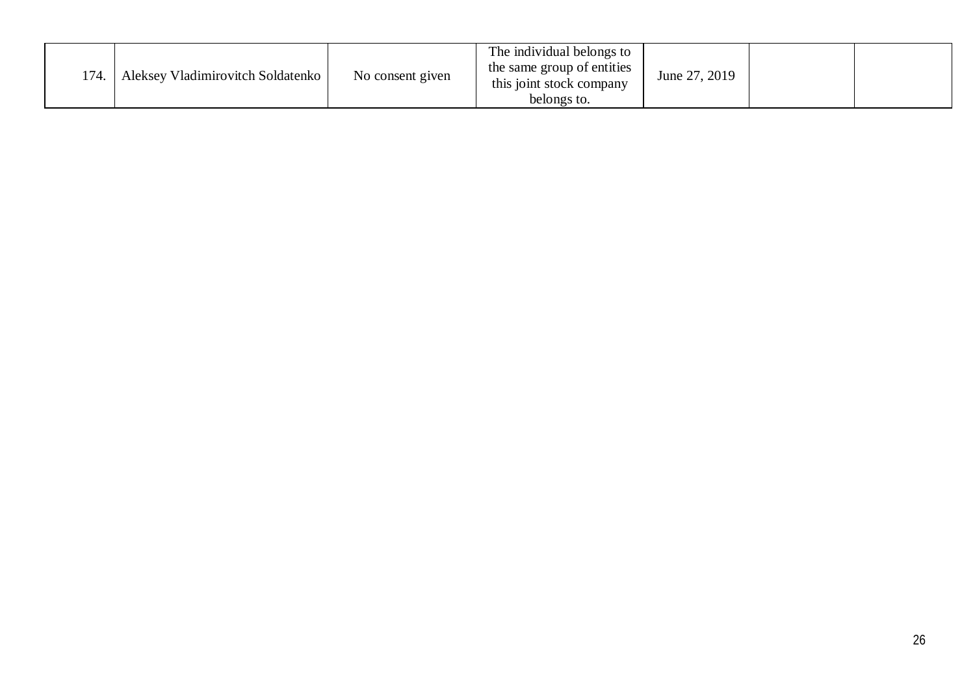| 174. | Aleksey Vladimirovitch Soldatenko | No consent given | The individual belongs to<br>the same group of entities<br>this joint stock company<br>belongs to. | June 27, 2019 |  |  |
|------|-----------------------------------|------------------|----------------------------------------------------------------------------------------------------|---------------|--|--|
|------|-----------------------------------|------------------|----------------------------------------------------------------------------------------------------|---------------|--|--|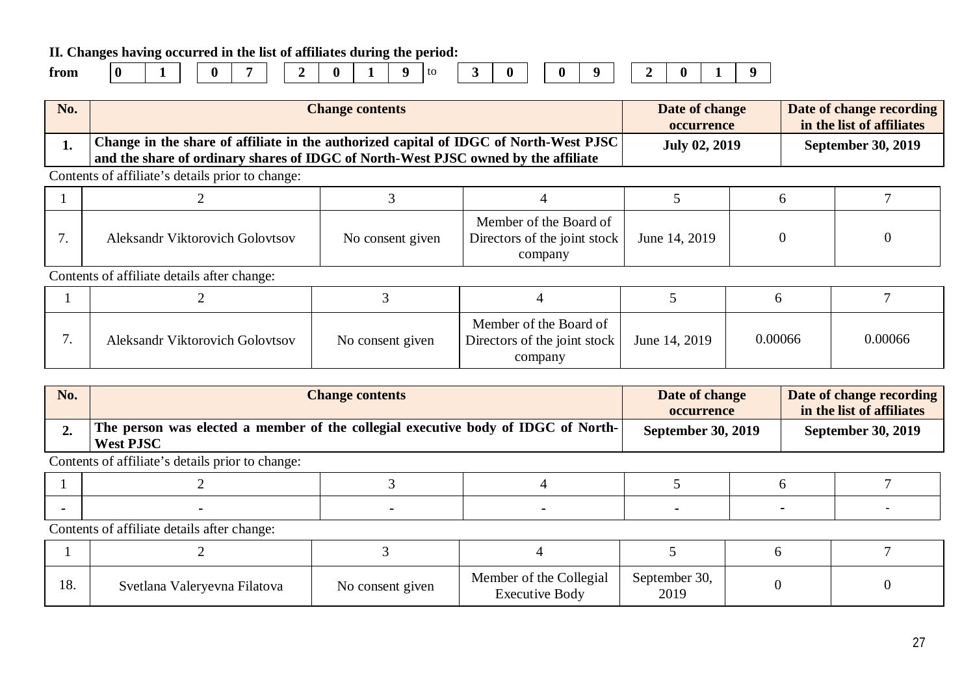**II. Changes having occurred in the list of affiliates during the period:**

| trom |  |
|------|--|
|      |  |

**from 0 1 0 7 2 0 1 9** to **3 0 0 9 2 0 1 9**

**No. Change contents Date of change occurrence Date of change recording in the list of affiliates 1. Change in the share of affiliate in the authorized capital of IDGC of North-West PJSC and the share of ordinary shares of IDGC of North-West PJSC owned by the affiliate July 02, 2019 September 30, 2019** Contents of affiliate's details prior to change:

| Aleksandr Viktorovich Golovtsov | No consent given | Member of the Board of<br>Directors of the joint stock<br>company | June 14, 2019 |  |
|---------------------------------|------------------|-------------------------------------------------------------------|---------------|--|

Contents of affiliate details after change:

| . . | Aleksandr Viktorovich Golovtsov | No consent given | Member of the Board of<br>Directors of the joint stock $\vert$<br>company | June 14, 2019 | 0.00066 | 0.00066 |
|-----|---------------------------------|------------------|---------------------------------------------------------------------------|---------------|---------|---------|

| No. | <b>Change contents</b>                                                                                | Date of change<br><b>occurrence</b> | Date of change recording<br>in the list of affiliates |
|-----|-------------------------------------------------------------------------------------------------------|-------------------------------------|-------------------------------------------------------|
|     | The person was elected a member of the collegial executive body of IDGC of North-<br><b>West PJSC</b> | <b>September 30, 2019</b>           | <b>September 30, 2019</b>                             |

Contents of affiliate's details prior to change:

| 1 O<br>10. | Svetlana Valeryevna Filatova | No consent given | Member of the Collegial<br><b>Executive Body</b> | September 30,<br>2019 |  |
|------------|------------------------------|------------------|--------------------------------------------------|-----------------------|--|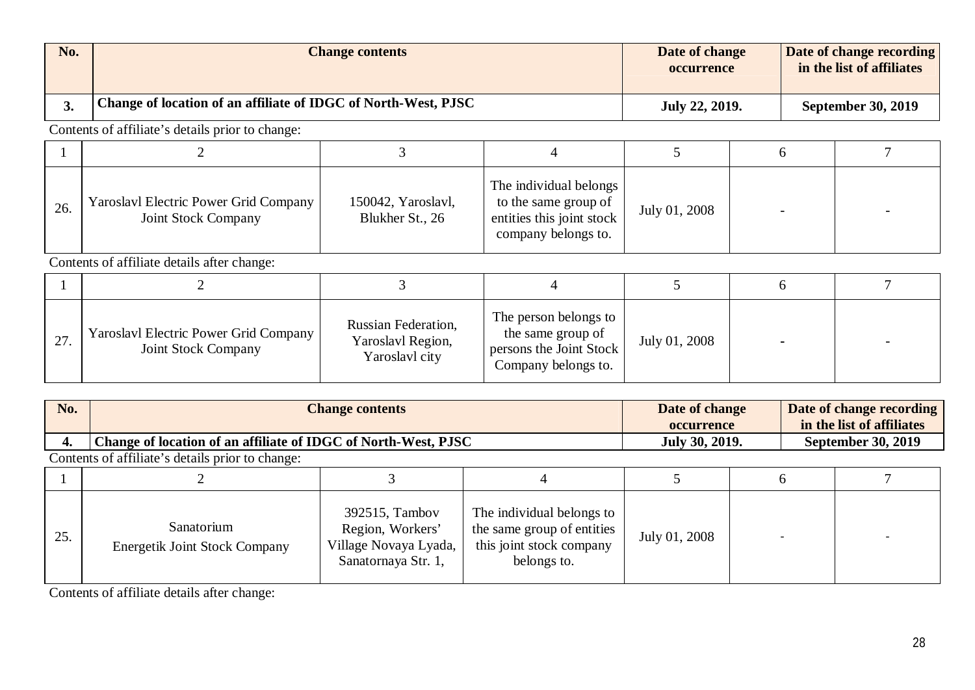| No. | <b>Change contents</b>                                         | Date of change<br>occurrence | Date of change recording<br>in the list of affiliates |
|-----|----------------------------------------------------------------|------------------------------|-------------------------------------------------------|
|     | Change of location of an affiliate of IDGC of North-West, PJSC | July 22, 2019.               | <b>September 30, 2019</b>                             |

| 26. | Yaroslavl Electric Power Grid Company<br><b>Joint Stock Company</b> | 150042, Yaroslavl,<br>Blukher St., 26 | The individual belongs<br>to the same group of<br>entities this joint stock<br>company belongs to. | July 01, 2008 |  |
|-----|---------------------------------------------------------------------|---------------------------------------|----------------------------------------------------------------------------------------------------|---------------|--|

Contents of affiliate details after change:

| 27. | Yaroslavl Electric Power Grid Company<br>Joint Stock Company | <b>Russian Federation,</b><br>Yaroslavl Region,<br>Yaroslavl city | The person belongs to<br>the same group of<br>persons the Joint Stock<br>Company belongs to. | July 01, 2008 | $\blacksquare$ |  |
|-----|--------------------------------------------------------------|-------------------------------------------------------------------|----------------------------------------------------------------------------------------------|---------------|----------------|--|

| No. | <b>Change contents</b>                                         |  | Date of change<br>occurrence |                | Date of change recording<br>in the list of affiliates |                           |  |
|-----|----------------------------------------------------------------|--|------------------------------|----------------|-------------------------------------------------------|---------------------------|--|
|     | Change of location of an affiliate of IDGC of North-West, PJSC |  |                              | July 30, 2019. |                                                       | <b>September 30, 2019</b> |  |
|     | Contents of affiliate's details prior to change:               |  |                              |                |                                                       |                           |  |
|     |                                                                |  |                              |                |                                                       |                           |  |

| 25. | Sanatorium<br><b>Energetik Joint Stock Company</b> | 392515, Tambov<br>Region, Workers'<br>Village Novaya Lyada,<br>Sanatornaya Str. 1, | The individual belongs to<br>the same group of entities<br>this joint stock company<br>belongs to. | July 01, 2008 |  |
|-----|----------------------------------------------------|------------------------------------------------------------------------------------|----------------------------------------------------------------------------------------------------|---------------|--|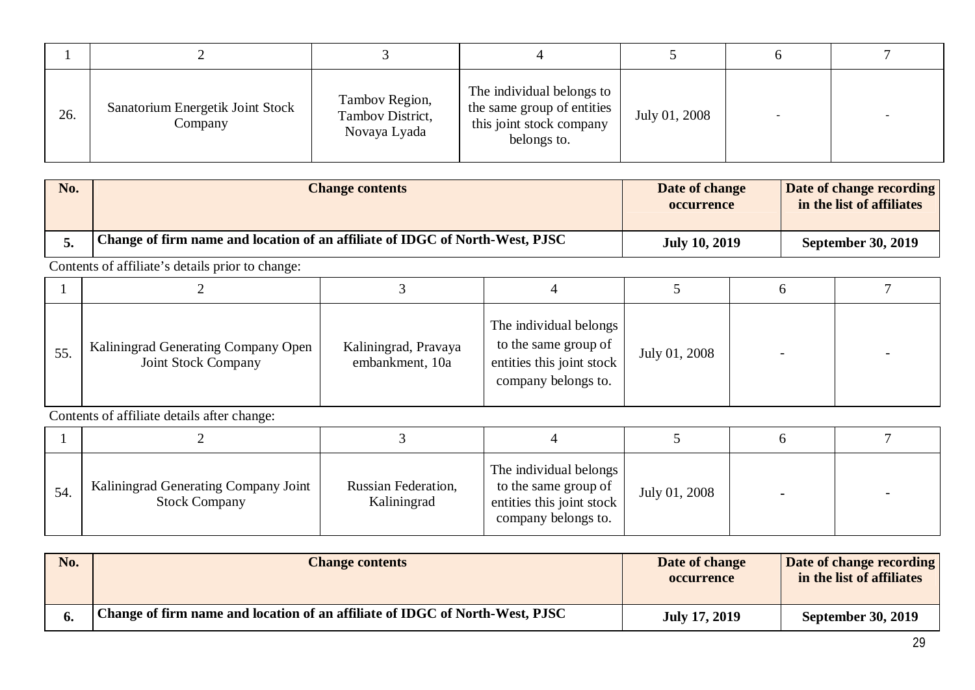| 26. | Sanatorium Energetik Joint Stock<br>Company | Tambov Region,<br>Tambov District,<br>Novaya Lyada | The individual belongs to<br>the same group of entities<br>this joint stock company<br>belongs to. | July 01, 2008 |  |
|-----|---------------------------------------------|----------------------------------------------------|----------------------------------------------------------------------------------------------------|---------------|--|

| <b>No.</b> | <b>Change contents</b>                                                       | Date of change<br><b>occurrence</b> | Date of change recording<br>in the list of affiliates |
|------------|------------------------------------------------------------------------------|-------------------------------------|-------------------------------------------------------|
|            | Change of firm name and location of an affiliate of IDGC of North-West, PJSC | <b>July 10, 2019</b>                | <b>September 30, 2019</b>                             |

| 55. | Kaliningrad Generating Company Open<br>Joint Stock Company | Kaliningrad, Pravaya<br>embankment, 10a | The individual belongs<br>to the same group of<br>entities this joint stock<br>company belongs to. | July 01, 2008 |  |
|-----|------------------------------------------------------------|-----------------------------------------|----------------------------------------------------------------------------------------------------|---------------|--|

| 54. | Kaliningrad Generating Company Joint<br><b>Stock Company</b> | Russian Federation,<br>Kaliningrad | The individual belongs<br>to the same group of<br>entities this joint stock<br>company belongs to. | July 01, 2008 | $\overline{\phantom{0}}$ |  |
|-----|--------------------------------------------------------------|------------------------------------|----------------------------------------------------------------------------------------------------|---------------|--------------------------|--|

| No. | <b>Change contents</b>                                                       | Date of change<br><b>occurrence</b> | Date of change recording<br>in the list of affiliates |
|-----|------------------------------------------------------------------------------|-------------------------------------|-------------------------------------------------------|
|     | Change of firm name and location of an affiliate of IDGC of North-West, PJSC | <b>July 17, 2019</b>                | <b>September 30, 2019</b>                             |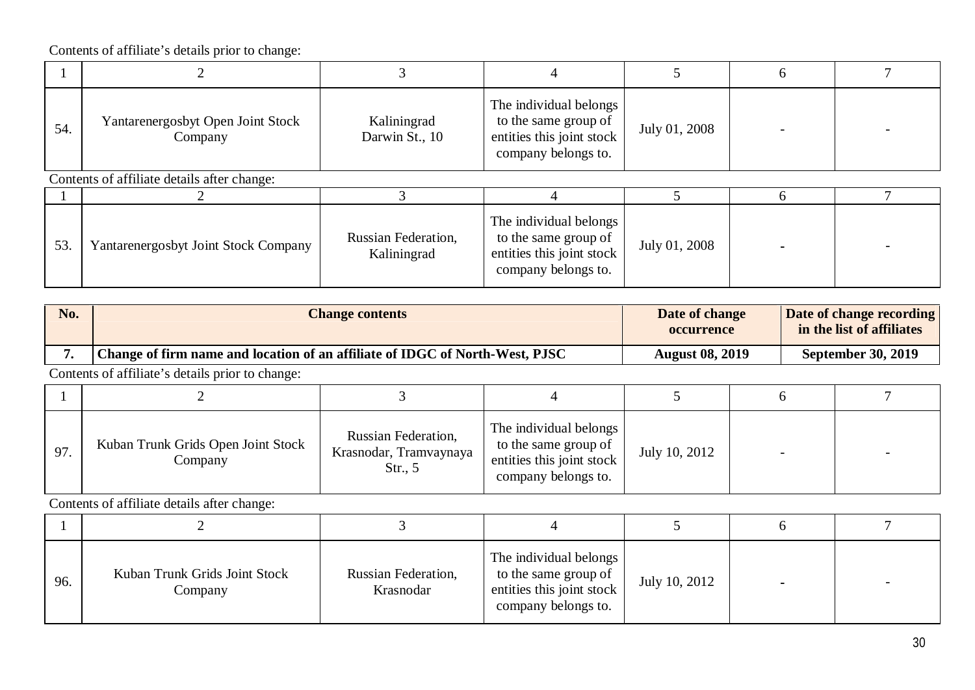| 54. | Yantarenergosbyt Open Joint Stock<br>Company | Kaliningrad<br>Darwin St., 10      | The individual belongs<br>to the same group of<br>entities this joint stock<br>company belongs to. | July 01, 2008 |  |
|-----|----------------------------------------------|------------------------------------|----------------------------------------------------------------------------------------------------|---------------|--|
|     | Contents of affiliate details after change:  |                                    |                                                                                                    |               |  |
|     |                                              |                                    |                                                                                                    |               |  |
| 53. | Yantarenergosbyt Joint Stock Company         | Russian Federation,<br>Kaliningrad | The individual belongs<br>to the same group of<br>entities this joint stock<br>company belongs to. | July 01, 2008 |  |

| No. | <b>Change contents</b>                                                       | Date of change<br>occurrence | Date of change recording<br>in the list of affiliates |
|-----|------------------------------------------------------------------------------|------------------------------|-------------------------------------------------------|
|     | Change of firm name and location of an affiliate of IDGC of North-West, PJSC | <b>August 08, 2019</b>       | <b>September 30, 2019</b>                             |
|     | .                                                                            |                              |                                                       |

Contents of affiliate's details prior to change:

| 97. | Kuban Trunk Grids Open Joint Stock<br>Company | Russian Federation,<br>Krasnodar, Tramvaynaya<br>Str., $5$ | The individual belongs<br>to the same group of<br>entities this joint stock<br>company belongs to. | July 10, 2012 | $\overline{\phantom{0}}$ |  |
|-----|-----------------------------------------------|------------------------------------------------------------|----------------------------------------------------------------------------------------------------|---------------|--------------------------|--|

| 96. | Kuban Trunk Grids Joint Stock<br>Company | Russian Federation,<br>Krasnodar | The individual belongs<br>to the same group of<br>entities this joint stock<br>company belongs to. | July 10, 2012 | $\blacksquare$ | $\overline{\phantom{a}}$ |
|-----|------------------------------------------|----------------------------------|----------------------------------------------------------------------------------------------------|---------------|----------------|--------------------------|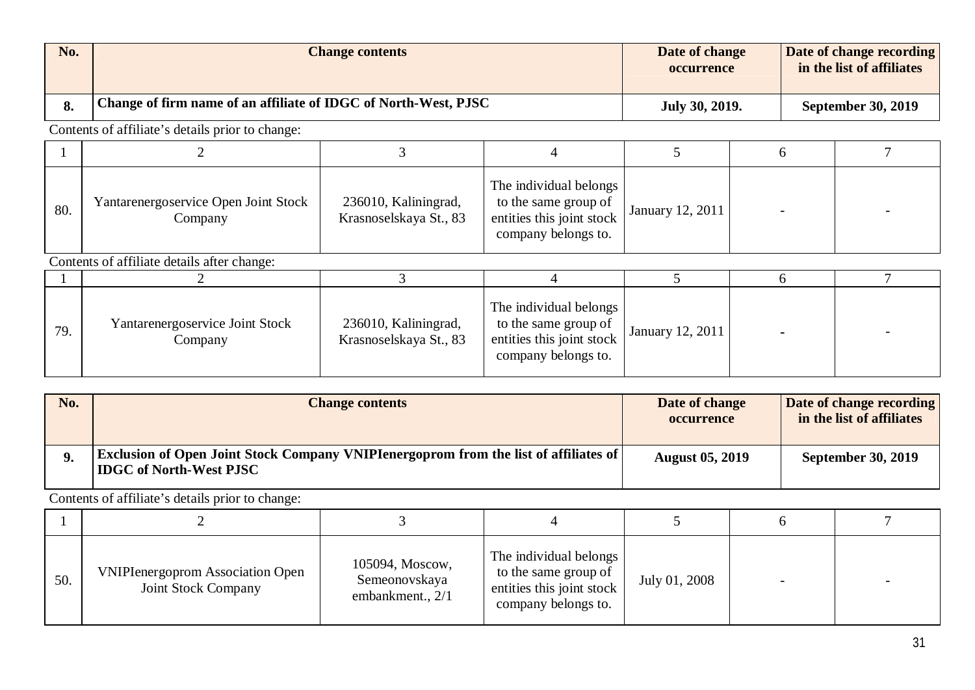| No. | <b>Change contents</b>                                          | Date of change<br>occurrence | Date of change recording<br>in the list of affiliates |
|-----|-----------------------------------------------------------------|------------------------------|-------------------------------------------------------|
|     | Change of firm name of an affiliate of IDGC of North-West, PJSC | July 30, 2019.               | <b>September 30, 2019</b>                             |

| 80. | Yantarenergoservice Open Joint Stock<br>Company | 236010, Kaliningrad,<br>Krasnoselskaya St., 83 | The individual belongs<br>to the same group of<br>entities this joint stock<br>company belongs to. | January 12, 2011 |  |
|-----|-------------------------------------------------|------------------------------------------------|----------------------------------------------------------------------------------------------------|------------------|--|

Contents of affiliate details after change:

| 79. | Yantarenergoservice Joint Stock<br>Company | 236010, Kaliningrad,<br>Krasnoselskaya St., 83 | The individual belongs<br>to the same group of<br>entities this joint stock<br>company belongs to. | <b>January 12, 2011</b> |  |
|-----|--------------------------------------------|------------------------------------------------|----------------------------------------------------------------------------------------------------|-------------------------|--|

| No. | <b>Change contents</b>                                                                                                        | Date of change<br><b>occurrence</b> | Date of change recording<br>in the list of affiliates |
|-----|-------------------------------------------------------------------------------------------------------------------------------|-------------------------------------|-------------------------------------------------------|
|     | <b>Exclusion of Open Joint Stock Company VNIPIenergoprom from the list of affiliates of</b><br><b>IDGC of North-West PJSC</b> | <b>August 05, 2019</b>              | <b>September 30, 2019</b>                             |

| 50. | <b>VNIPIenergoprom Association Open</b><br>Joint Stock Company | 105094, Moscow,<br>Semeonovskaya<br>embankment., 2/1 | The individual belongs<br>to the same group of<br>entities this joint stock<br>company belongs to. | July 01, 2008 | $\overline{\phantom{0}}$ |  |
|-----|----------------------------------------------------------------|------------------------------------------------------|----------------------------------------------------------------------------------------------------|---------------|--------------------------|--|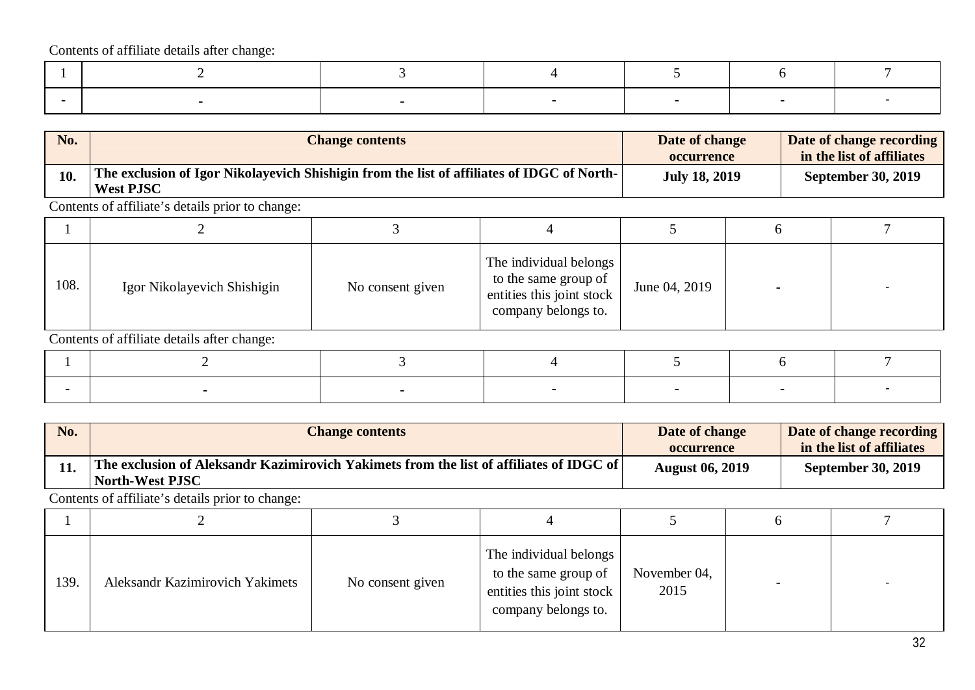| No. | <b>Change contents</b>                                                                                         | Date of change<br><b>occurrence</b> | Date of change recording<br>in the list of affiliates |
|-----|----------------------------------------------------------------------------------------------------------------|-------------------------------------|-------------------------------------------------------|
| 10. | The exclusion of Igor Nikolayevich Shishigin from the list of affiliates of IDGC of North-<br><b>West PJSC</b> | <b>July 18, 2019</b>                | <b>September 30, 2019</b>                             |

Contents of affiliate's details prior to change:

| 108. | Igor Nikolayevich Shishigin | No consent given | The individual belongs<br>to the same group of<br>entities this joint stock<br>company belongs to. | June 04, 2019 |  |
|------|-----------------------------|------------------|----------------------------------------------------------------------------------------------------|---------------|--|

Contents of affiliate details after change:

| No. | <b>Change contents</b>                                                                                              | Date of change<br><b>occurrence</b> | Date of change recording<br>in the list of affiliates |
|-----|---------------------------------------------------------------------------------------------------------------------|-------------------------------------|-------------------------------------------------------|
|     | ' The exclusion of Aleksandr Kazimirovich Yakimets from the list of affiliates of IDGC of $\mid$<br>North-West PJSC | <b>August 06, 2019</b>              | <b>September 30, 2019</b>                             |
|     |                                                                                                                     |                                     |                                                       |

| 139. | <b>Aleksandr Kazimirovich Yakimets</b> | No consent given | The individual belongs<br>to the same group of<br>entities this joint stock<br>company belongs to. | November 04,<br>2015 |  |
|------|----------------------------------------|------------------|----------------------------------------------------------------------------------------------------|----------------------|--|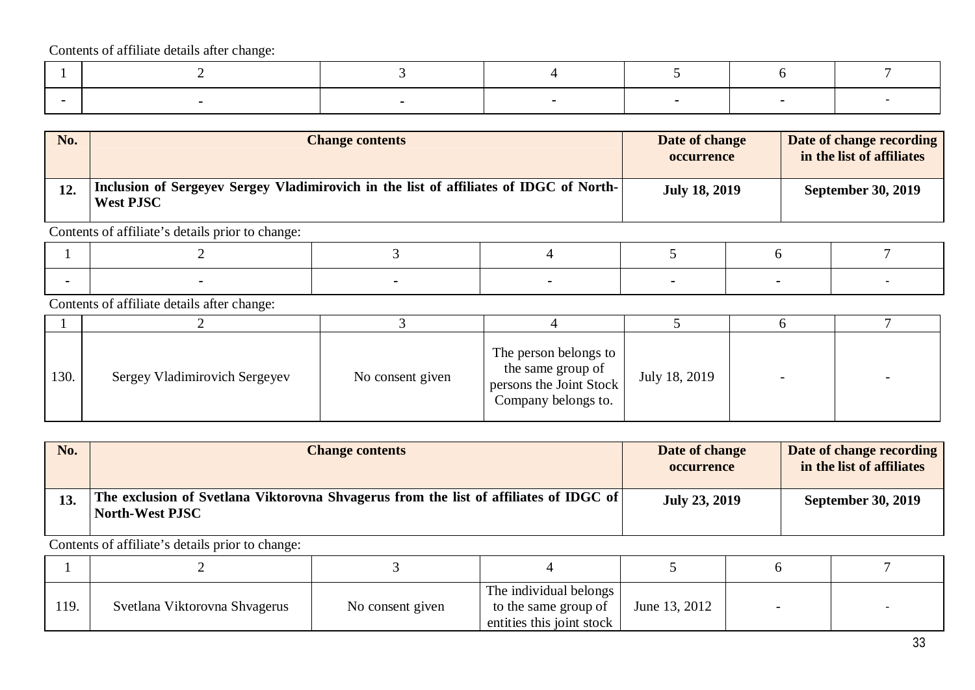| No. | <b>Change contents</b>                                                                                     | Date of change<br><b>occurrence</b> | Date of change recording<br>in the list of affiliates |
|-----|------------------------------------------------------------------------------------------------------------|-------------------------------------|-------------------------------------------------------|
| 12. | Inclusion of Sergeyev Sergey Vladimirovich in the list of affiliates of IDGC of North-<br><b>West PJSC</b> | <b>July 18, 2019</b>                | <b>September 30, 2019</b>                             |

Contents of affiliate's details prior to change:

Contents of affiliate details after change:

| 130. | Sergey Vladimirovich Sergeyev | No consent given | The person belongs to<br>the same group of<br>persons the Joint Stock<br>Company belongs to. | July 18, 2019 | $\overline{\phantom{0}}$ |  |
|------|-------------------------------|------------------|----------------------------------------------------------------------------------------------|---------------|--------------------------|--|

| No. | <b>Change contents</b>                                                                                   | Date of change<br><b>occurrence</b> | Date of change recording<br>in the list of affiliates |
|-----|----------------------------------------------------------------------------------------------------------|-------------------------------------|-------------------------------------------------------|
| 13. | The exclusion of Svetlana Viktorovna Shvagerus from the list of affiliates of IDGC of<br>North-West PJSC | <b>July 23, 2019</b>                | <b>September 30, 2019</b>                             |

| 119. | Svetlana Viktorovna Shvagerus | No consent given | The individual belongs<br>to the same group of<br>entities this joint stock | June 13, 2012 |  |
|------|-------------------------------|------------------|-----------------------------------------------------------------------------|---------------|--|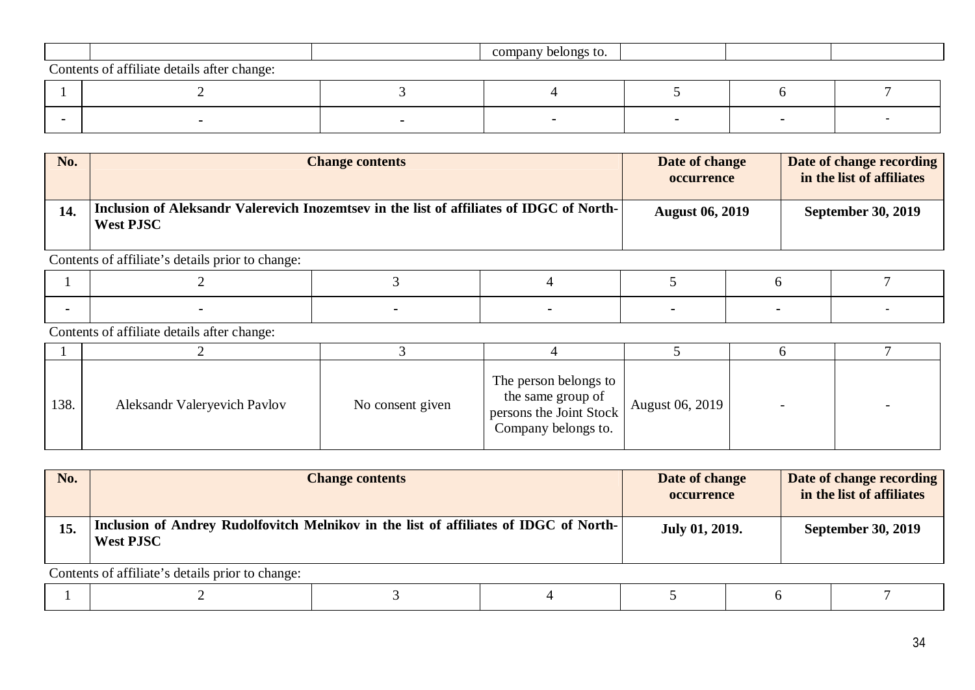|                                             | company belongs to. |  |  |
|---------------------------------------------|---------------------|--|--|
| Contents of affiliate details after change: |                     |  |  |
|                                             |                     |  |  |

**- - - - - - -**

| No. | <b>Change contents</b>                                                                                       | Date of change<br><b>occurrence</b> | Date of change recording<br>in the list of affiliates |
|-----|--------------------------------------------------------------------------------------------------------------|-------------------------------------|-------------------------------------------------------|
| 14. | Inclusion of Aleksandr Valerevich Inozemtsev in the list of affiliates of IDGC of North-<br><b>West PJSC</b> | <b>August 06, 2019</b>              | <b>September 30, 2019</b>                             |

Contents of affiliate's details prior to change:

Contents of affiliate details after change:

| 138. | Aleksandr Valeryevich Pavlov | No consent given | The person belongs to<br>the same group of<br>persons the Joint Stock<br>Company belongs to. | August 06, 2019 |  |
|------|------------------------------|------------------|----------------------------------------------------------------------------------------------|-----------------|--|

| No. | <b>Change contents</b>                                                                                    | Date of change<br><b>occurrence</b> | Date of change recording<br>in the list of affiliates |
|-----|-----------------------------------------------------------------------------------------------------------|-------------------------------------|-------------------------------------------------------|
| 15. | Inclusion of Andrey Rudolfovitch Melnikov in the list of affiliates of IDGC of North-<br><b>West PJSC</b> | July 01, 2019.                      | <b>September 30, 2019</b>                             |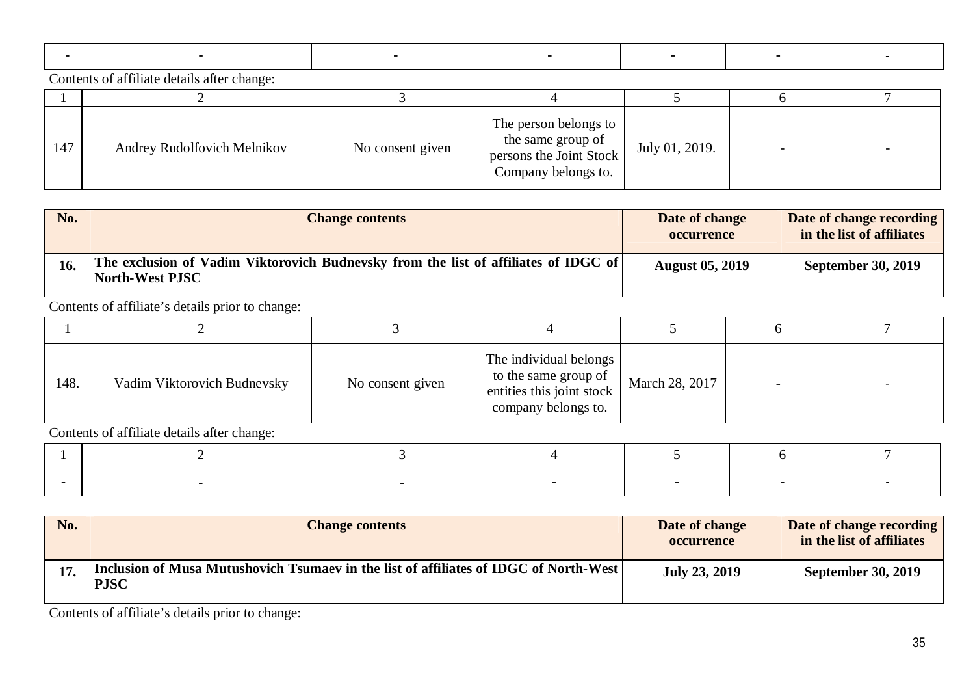| 147 | Andrey Rudolfovich Melnikov | No consent given | The person belongs to<br>the same group of<br>persons the Joint Stock<br>Company belongs to. | July 01, 2019. | $\overline{\phantom{0}}$ |  |
|-----|-----------------------------|------------------|----------------------------------------------------------------------------------------------|----------------|--------------------------|--|

| No. | <b>Change contents</b>                                                                                   | Date of change<br><b>occurrence</b> | Date of change recording<br>in the list of affiliates |
|-----|----------------------------------------------------------------------------------------------------------|-------------------------------------|-------------------------------------------------------|
| 16. | The exclusion of Vadim Viktorovich Budnevsky from the list of affiliates of IDGC of<br>  North-West PJSC | <b>August 05, 2019</b>              | <b>September 30, 2019</b>                             |

Contents of affiliate's details prior to change:

| 148. | Vadim Viktorovich Budnevsky | No consent given | The individual belongs<br>to the same group of<br>entities this joint stock<br>company belongs to. | March 28, 2017 |  |
|------|-----------------------------|------------------|----------------------------------------------------------------------------------------------------|----------------|--|

Contents of affiliate details after change:

| No. | <b>Change contents</b>                                                                                 | Date of change<br><b>occurrence</b> | Date of change recording<br>in the list of affiliates |
|-----|--------------------------------------------------------------------------------------------------------|-------------------------------------|-------------------------------------------------------|
| 17. | Inclusion of Musa Mutushovich Tsumaev in the list of affiliates of IDGC of North-West  <br><b>PJSC</b> | <b>July 23, 2019</b>                | <b>September 30, 2019</b>                             |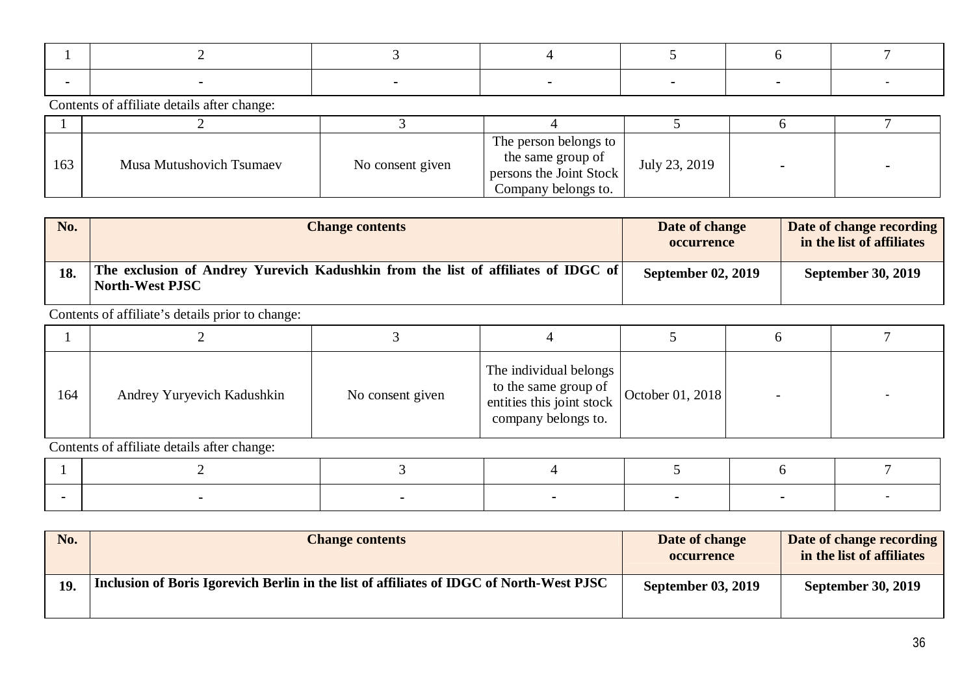| 163 | Musa Mutushovich Tsumaev | No consent given | The person belongs to<br>the same group of<br>persons the Joint Stock<br>Company belongs to. | July 23, 2019 |  |
|-----|--------------------------|------------------|----------------------------------------------------------------------------------------------|---------------|--|

| No. | <b>Change contents</b>                                                                               | Date of change<br><b>occurrence</b> | Date of change recording<br>in the list of affiliates |
|-----|------------------------------------------------------------------------------------------------------|-------------------------------------|-------------------------------------------------------|
| 18. | The exclusion of Andrey Yurevich Kadushkin from the list of affiliates of IDGC of<br>North-West PJSC | <b>September 02, 2019</b>           | <b>September 30, 2019</b>                             |

Contents of affiliate's details prior to change:

| 164 | Andrey Yuryevich Kadushkin | No consent given | The individual belongs<br>to the same group of<br>entities this joint stock<br>company belongs to. | October 01, 2018 |  |
|-----|----------------------------|------------------|----------------------------------------------------------------------------------------------------|------------------|--|

| No.        | <b>Change contents</b>                                                                   | Date of change<br><b>occurrence</b> | Date of change recording<br>in the list of affiliates |
|------------|------------------------------------------------------------------------------------------|-------------------------------------|-------------------------------------------------------|
| <b>19.</b> | Inclusion of Boris Igorevich Berlin in the list of affiliates of IDGC of North-West PJSC | <b>September 03, 2019</b>           | <b>September 30, 2019</b>                             |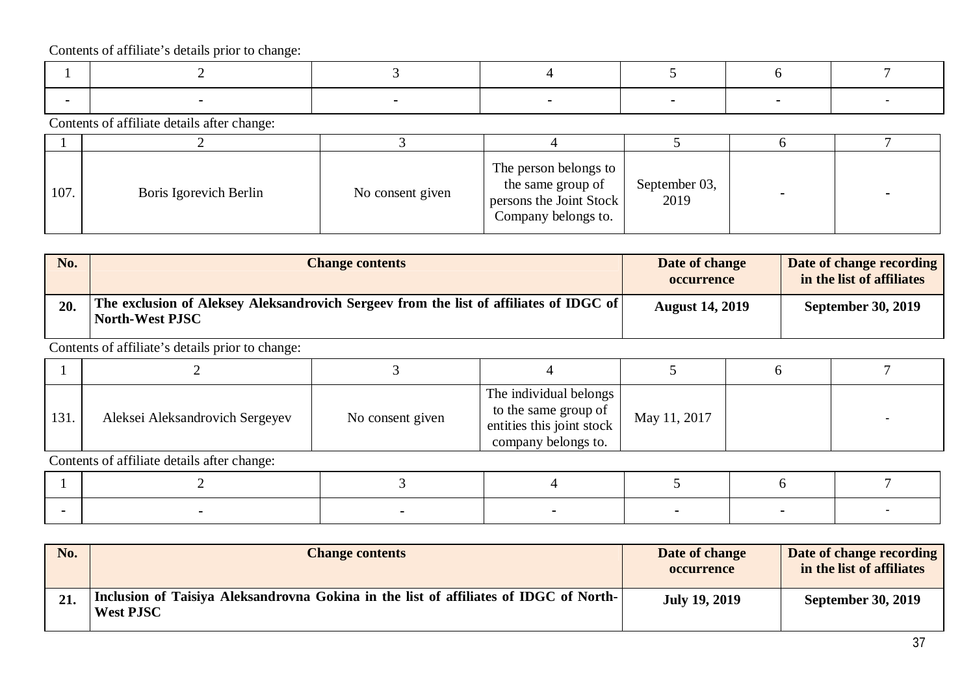Contents of affiliate details after change:

| 107. | Boris Igorevich Berlin | No consent given | The person belongs to<br>the same group of<br>persons the Joint Stock<br>Company belongs to. | September 03,<br>2019 |  |
|------|------------------------|------------------|----------------------------------------------------------------------------------------------|-----------------------|--|

| No. | <b>Change contents</b>                                                                                    | Date of change<br><b>occurrence</b> | Date of change recording<br>in the list of affiliates |
|-----|-----------------------------------------------------------------------------------------------------------|-------------------------------------|-------------------------------------------------------|
| 20. | The exclusion of Aleksey Aleksandrovich Sergeev from the list of affiliates of IDGC of<br>North-West PJSC | <b>August 14, 2019</b>              | <b>September 30, 2019</b>                             |

Contents of affiliate's details prior to change:

| 131. | Aleksei Aleksandrovich Sergeyev | No consent given | The individual belongs<br>to the same group of<br>entities this joint stock<br>company belongs to. | May 11, 2017 |  |
|------|---------------------------------|------------------|----------------------------------------------------------------------------------------------------|--------------|--|

| No. | <b>Change contents</b>                                                                                    | Date of change<br><b>occurrence</b> | Date of change recording<br>in the list of affiliates |
|-----|-----------------------------------------------------------------------------------------------------------|-------------------------------------|-------------------------------------------------------|
| 21. | Inclusion of Taisiya Aleksandrovna Gokina in the list of affiliates of IDGC of North-<br><b>West PJSC</b> | <b>July 19, 2019</b>                | <b>September 30, 2019</b>                             |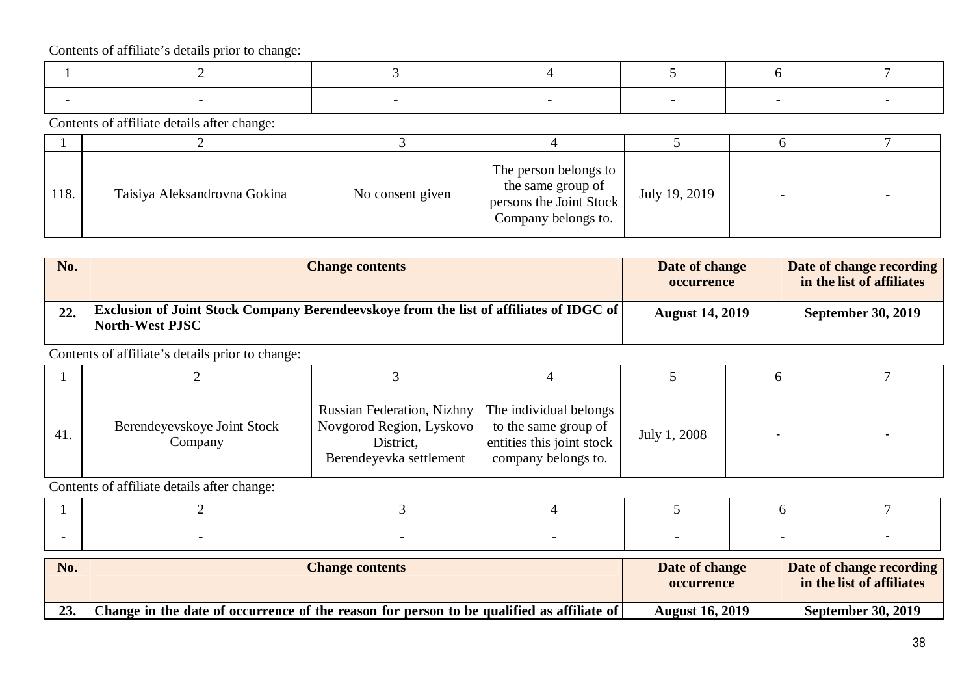Contents of affiliate details after change:

| 118. | Taisiya Aleksandrovna Gokina | No consent given | The person belongs to<br>the same group of<br>persons the Joint Stock<br>Company belongs to. | July 19, 2019 |  |
|------|------------------------------|------------------|----------------------------------------------------------------------------------------------|---------------|--|

| No. | <b>Change contents</b>                                                                                                  | Date of change<br><b>occurrence</b> | Date of change recording<br>in the list of affiliates |
|-----|-------------------------------------------------------------------------------------------------------------------------|-------------------------------------|-------------------------------------------------------|
| 22. | <b>Exclusion of Joint Stock Company Berendeevskoye from the list of affiliates of IDGC of</b><br><b>North-West PJSC</b> | <b>August 14, 2019</b>              | <b>September 30, 2019</b>                             |

Contents of affiliate's details prior to change:

| 41. | Berendeyevskoye Joint Stock<br>Company | <b>Russian Federation, Nizhny</b><br>Novgorod Region, Lyskovo<br>District,<br>Berendeyevka settlement | The individual belongs<br>to the same group of<br>entities this joint stock<br>company belongs to. | July 1, 2008 |  |
|-----|----------------------------------------|-------------------------------------------------------------------------------------------------------|----------------------------------------------------------------------------------------------------|--------------|--|

| No. | <b>Change contents</b>                                                                    | Date of change<br><b>occurrence</b> | Date of change recording<br>in the list of affiliates |
|-----|-------------------------------------------------------------------------------------------|-------------------------------------|-------------------------------------------------------|
| 23. | Change in the date of occurrence of the reason for person to be qualified as affiliate of | <b>August 16, 2019</b>              | <b>September 30, 2019</b>                             |